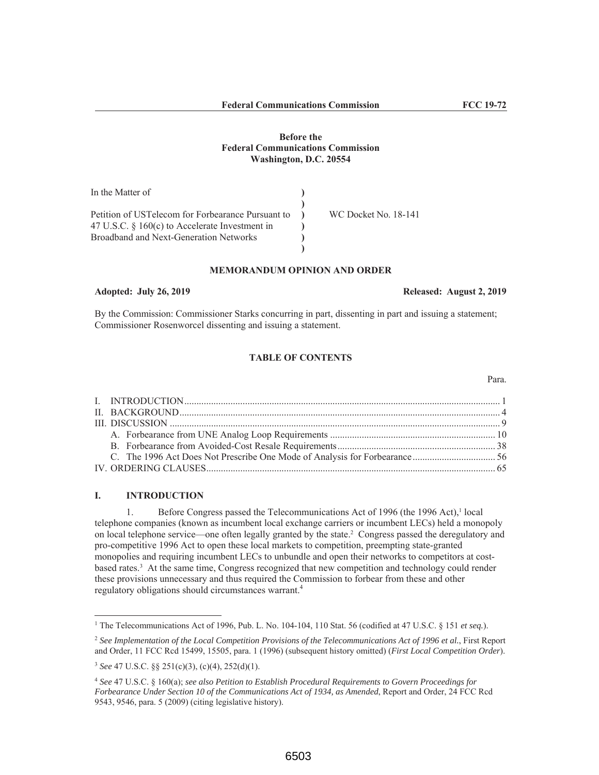# **Before the Federal Communications Commission** Washington, D.C. 20554

| In the Matter of                                  |                      |
|---------------------------------------------------|----------------------|
|                                                   |                      |
| Petition of USTelecom for Forbearance Pursuant to | WC Docket No. 18-141 |
| 47 U.S.C. $\S$ 160(c) to Accelerate Investment in |                      |
| Broadband and Next-Generation Networks            |                      |
|                                                   |                      |

# **MEMORANDUM OPINION AND ORDER**

# **Adopted: July 26, 2019**

By the Commission: Commissioner Starks concurring in part, dissenting in part and issuing a statement; Commissioner Rosenworcel dissenting and issuing a statement.

# **TABLE OF CONTENTS**

### **INTRODUCTION** I.

Before Congress passed the Telecommunications Act of 1996 (the 1996 Act),<sup>1</sup> local 1. telephone companies (known as incumbent local exchange carriers or incumbent LECs) held a monopoly on local telephone service—one often legally granted by the state.<sup>2</sup> Congress passed the deregulatory and pro-competitive 1996 Act to open these local markets to competition, preempting state-granted monopolies and requiring incumbent LECs to unbundle and open their networks to competitors at costbased rates.<sup>3</sup> At the same time, Congress recognized that new competition and technology could render these provisions unnecessary and thus required the Commission to forbear from these and other regulatory obligations should circumstances warrant.<sup>4</sup>

## Released: August 2, 2019

<sup>&</sup>lt;sup>1</sup> The Telecommunications Act of 1996, Pub. L. No. 104-104, 110 Stat. 56 (codified at 47 U.S.C. § 151 et seq.).

 $2$  See Implementation of the Local Competition Provisions of the Telecommunications Act of 1996 et al., First Report and Order, 11 FCC Rcd 15499, 15505, para. 1 (1996) (subsequent history omitted) (First Local Competition Order).

<sup>&</sup>lt;sup>3</sup> See 47 U.S.C. §§ 251(c)(3), (c)(4), 252(d)(1).

 $4$  See 47 U.S.C. § 160(a); see also Petition to Establish Procedural Requirements to Govern Proceedings for Forbearance Under Section 10 of the Communications Act of 1934, as Amended, Report and Order, 24 FCC Red 9543, 9546, para. 5 (2009) (citing legislative history).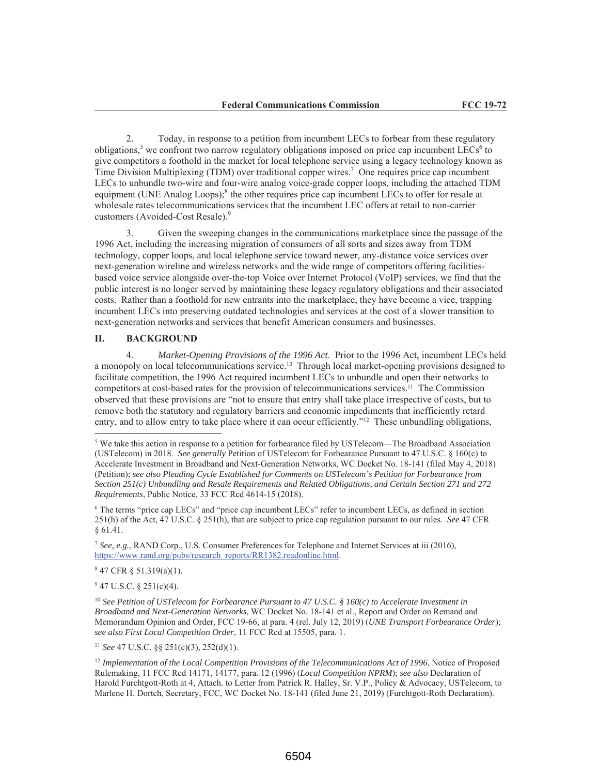$\mathcal{L}$ Today, in response to a petition from incumbent LECs to forbear from these regulatory obligations,<sup>5</sup> we confront two narrow regulatory obligations imposed on price cap incumbent LECs<sup>6</sup> to give competitors a foothold in the market for local telephone service using a legacy technology known as Time Division Multiplexing (TDM) over traditional copper wires.<sup>7</sup> One requires price cap incumbent LECs to unbundle two-wire and four-wire analog voice-grade copper loops, including the attached TDM equipment (UNE Analog Loops);<sup>8</sup> the other requires price cap incumbent LECs to offer for resale at wholesale rates telecommunications services that the incumbent LEC offers at retail to non-carrier customers (Avoided-Cost Resale).<sup>9</sup>

 $3.$ Given the sweeping changes in the communications marketplace since the passage of the 1996 Act, including the increasing migration of consumers of all sorts and sizes away from TDM technology, copper loops, and local telephone service toward newer, any-distance voice services over next-generation wireline and wireless networks and the wide range of competitors offering facilitiesbased voice service alongside over-the-top Voice over Internet Protocol (VoIP) services, we find that the public interest is no longer served by maintaining these legacy regulatory obligations and their associated costs. Rather than a foothold for new entrants into the marketplace, they have become a vice, trapping incumbent LECs into preserving outdated technologies and services at the cost of a slower transition to next-generation networks and services that benefit American consumers and businesses.

### II. **BACKGROUND**

Market-Opening Provisions of the 1996 Act. Prior to the 1996 Act, incumbent LECs held  $\overline{4}$ . a monopoly on local telecommunications service.<sup>10</sup> Through local market-opening provisions designed to facilitate competition, the 1996 Act required incumbent LECs to unbundle and open their networks to competitors at cost-based rates for the provision of telecommunications services.<sup>11</sup> The Commission observed that these provisions are "not to ensure that entry shall take place irrespective of costs, but to remove both the statutory and regulatory barriers and economic impediments that inefficiently retard entry, and to allow entry to take place where it can occur efficiently."<sup>12</sup> These unbundling obligations,

 $847$  CFR § 51.319(a)(1).

 $947$  U.S.C. § 251(c)(4).

<sup>11</sup> See 47 U.S.C. §§ 251(c)(3), 252(d)(1).

<sup>&</sup>lt;sup>5</sup> We take this action in response to a petition for forbearance filed by USTelecom—The Broadband Association (USTelecom) in 2018. See generally Petition of USTelecom for Forbearance Pursuant to 47 U.S.C. § 160(c) to Accelerate Investment in Broadband and Next-Generation Networks, WC Docket No. 18-141 (filed May 4, 2018) (Petition); see also Pleading Cycle Established for Comments on USTelecom's Petition for Forbearance from Section 251(c) Unbundling and Resale Requirements and Related Obligations, and Certain Section 271 and 272 Requirements, Public Notice, 33 FCC Rcd 4614-15 (2018).

<sup>&</sup>lt;sup>6</sup> The terms "price cap LECs" and "price cap incumbent LECs" refer to incumbent LECs, as defined in section 251(h) of the Act, 47 U.S.C. § 251(h), that are subject to price cap regulation pursuant to our rules. See 47 CFR  $$61.41.$ 

<sup>&</sup>lt;sup>7</sup> See, e.g., RAND Corp., U.S. Consumer Preferences for Telephone and Internet Services at iii (2016), https://www.rand.org/pubs/research\_reports/RR1382.readonline.html.

<sup>&</sup>lt;sup>10</sup> See Petition of USTelecom for Forbearance Pursuant to 47 U.S.C. § 160(c) to Accelerate Investment in Broadband and Next-Generation Networks, WC Docket No. 18-141 et al., Report and Order on Remand and Memorandum Opinion and Order, FCC 19-66, at para. 4 (rel. July 12, 2019) (UNE Transport Forbearance Order); see also First Local Competition Order, 11 FCC Rcd at 15505, para. 1.

 $12$  Implementation of the Local Competition Provisions of the Telecommunications Act of 1996, Notice of Proposed Rulemaking, 11 FCC Rcd 14171, 14177, para. 12 (1996) (Local Competition NPRM); see also Declaration of Harold Furchtgott-Roth at 4, Attach. to Letter from Patrick R. Halley, Sr. V.P., Policy & Advocacy, USTelecom, to Marlene H. Dortch, Secretary, FCC, WC Docket No. 18-141 (filed June 21, 2019) (Furchtgott-Roth Declaration).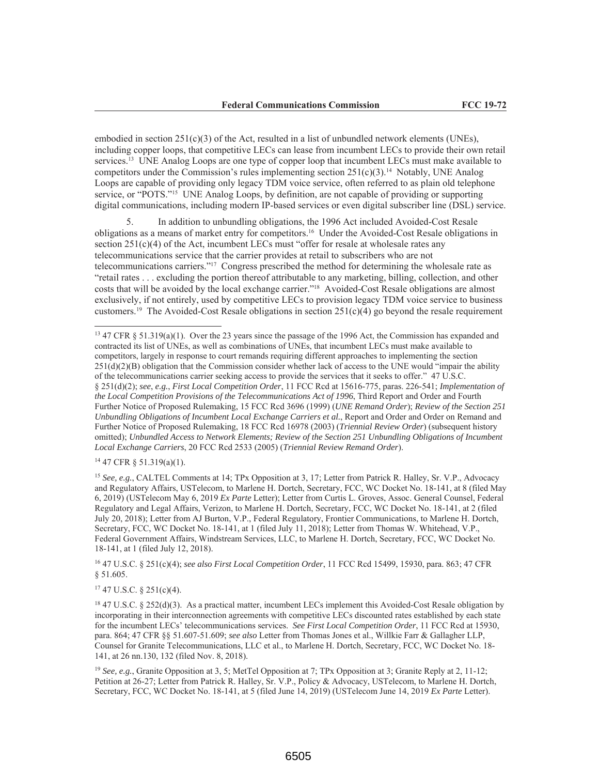embodied in section  $251(c)(3)$  of the Act, resulted in a list of unbundled network elements (UNEs), including copper loops, that competitive LECs can lease from incumbent LECs to provide their own retail services.<sup>13</sup> UNE Analog Loops are one type of copper loop that incumbent LECs must make available to competitors under the Commission's rules implementing section  $251(c)(3)$ .<sup>14</sup> Notably, UNE Analog Loops are capable of providing only legacy TDM voice service, often referred to as plain old telephone service, or "POTS."<sup>15</sup> UNE Analog Loops, by definition, are not capable of providing or supporting digital communications, including modern IP-based services or even digital subscriber line (DSL) service.

In addition to unbundling obligations, the 1996 Act included Avoided-Cost Resale obligations as a means of market entry for competitors.<sup>16</sup> Under the Avoided-Cost Resale obligations in section  $251(c)(4)$  of the Act, incumbent LECs must "offer for resale at wholesale rates any telecommunications service that the carrier provides at retail to subscribers who are not telecommunications carriers."<sup>17</sup> Congress prescribed the method for determining the wholesale rate as "retail rates . . . excluding the portion thereof attributable to any marketing, billing, collection, and other costs that will be avoided by the local exchange carrier."<sup>18</sup> Avoided-Cost Resale obligations are almost exclusively, if not entirely, used by competitive LECs to provision legacy TDM voice service to business customers.<sup>19</sup> The Avoided-Cost Resale obligations in section  $251(c)(4)$  go beyond the resale requirement

 $14$  47 CFR § 51.319(a)(1).

<sup>15</sup> See, e.g., CALTEL Comments at 14; TPx Opposition at 3, 17; Letter from Patrick R. Halley, Sr. V.P., Advocacy and Regulatory Affairs, USTelecom, to Marlene H. Dortch, Secretary, FCC, WC Docket No. 18-141, at 8 (filed May 6, 2019) (USTelecom May 6, 2019 Ex Parte Letter); Letter from Curtis L. Groves, Assoc. General Counsel, Federal Regulatory and Legal Affairs, Verizon, to Marlene H. Dortch, Secretary, FCC, WC Docket No. 18-141, at 2 (filed July 20, 2018); Letter from AJ Burton, V.P., Federal Regulatory, Frontier Communications, to Marlene H. Dortch, Secretary, FCC, WC Docket No. 18-141, at 1 (filed July 11, 2018); Letter from Thomas W. Whitehead, V.P., Federal Government Affairs, Windstream Services, LLC, to Marlene H. Dortch, Secretary, FCC, WC Docket No. 18-141, at 1 (filed July 12, 2018).

<sup>16</sup> 47 U.S.C. § 251(c)(4); see also First Local Competition Order, 11 FCC Rcd 15499, 15930, para. 863; 47 CFR  $§ 51.605.$ 

 $17$  47 U.S.C. § 251(c)(4).

<sup>19</sup> See, e.g., Granite Opposition at 3, 5; MetTel Opposition at 7; TPx Opposition at 3; Granite Reply at 2, 11-12; Petition at 26-27; Letter from Patrick R. Halley, Sr. V.P., Policy & Advocacy, USTelecom, to Marlene H. Dortch, Secretary, FCC, WC Docket No. 18-141, at 5 (filed June 14, 2019) (USTelecom June 14, 2019 Ex Parte Letter).

 $13$  47 CFR § 51.319(a)(1). Over the 23 years since the passage of the 1996 Act, the Commission has expanded and contracted its list of UNEs, as well as combinations of UNEs, that incumbent LECs must make available to competitors, largely in response to court remands requiring different approaches to implementing the section 251(d)(2)(B) obligation that the Commission consider whether lack of access to the UNE would "impair the ability of the telecommunications carrier seeking access to provide the services that it seeks to offer." 47 U.S.C. § 251(d)(2); see, e.g., First Local Competition Order, 11 FCC Rcd at 15616-775, paras. 226-541; Implementation of the Local Competition Provisions of the Telecommunications Act of 1996, Third Report and Order and Fourth Further Notice of Proposed Rulemaking, 15 FCC Rcd 3696 (1999) (UNE Remand Order); Review of the Section 251 Unbundling Obligations of Incumbent Local Exchange Carriers et al., Report and Order and Order on Remand and Further Notice of Proposed Rulemaking, 18 FCC Rcd 16978 (2003) (Triennial Review Order) (subsequent history omitted); Unbundled Access to Network Elements; Review of the Section 251 Unbundling Obligations of Incumbent Local Exchange Carriers, 20 FCC Rcd 2533 (2005) (Triennial Review Remand Order).

 $^{18}$  47 U.S.C. § 252(d)(3). As a practical matter, incumbent LECs implement this Avoided-Cost Resale obligation by incorporating in their interconnection agreements with competitive LECs discounted rates established by each state for the incumbent LECs' telecommunications services. See First Local Competition Order, 11 FCC Rcd at 15930, para. 864; 47 CFR §§ 51.607-51.609; see also Letter from Thomas Jones et al., Willkie Farr & Gallagher LLP, Counsel for Granite Telecommunications, LLC et al., to Marlene H. Dortch, Secretary, FCC, WC Docket No. 18-141, at 26 nn.130, 132 (filed Nov. 8, 2018).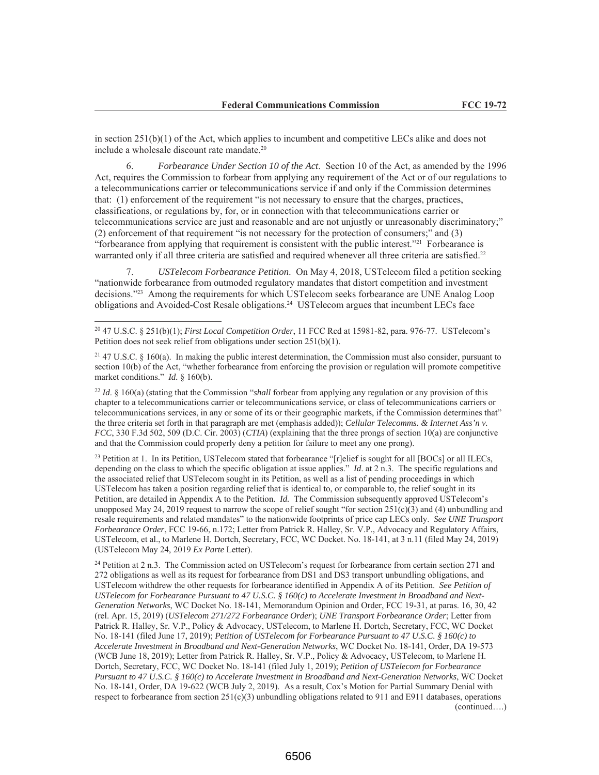in section  $251(b)(1)$  of the Act, which applies to incumbent and competitive LECs alike and does not include a wholesale discount rate mandate.<sup>20</sup>

Forbearance Under Section 10 of the Act. Section 10 of the Act, as amended by the 1996 6. Act, requires the Commission to forbear from applying any requirement of the Act or of our regulations to a telecommunications carrier or telecommunications service if and only if the Commission determines that: (1) enforcement of the requirement "is not necessary to ensure that the charges, practices, classifications, or regulations by, for, or in connection with that telecommunications carrier or telecommunications service are just and reasonable and are not unjustly or unreasonably discriminatory;" (2) enforcement of that requirement "is not necessary for the protection of consumers;" and (3) "forbearance from applying that requirement is consistent with the public interest."<sup>21</sup> Forbearance is warranted only if all three criteria are satisfied and required whenever all three criteria are satisfied.<sup>22</sup>

USTelecom Forbearance Petition. On May 4, 2018, USTelecom filed a petition seeking 7. "nationwide forbearance from outmoded regulatory mandates that distort competition and investment decisions."<sup>23</sup> Among the requirements for which UST elecom seeks for bearance are UNE Analog Loop obligations and Avoided-Cost Resale obligations.<sup>24</sup> USTelecom argues that incumbent LECs face

<sup>22</sup> Id. § 160(a) (stating that the Commission "shall forbear from applying any regulation or any provision of this chapter to a telecommunications carrier or telecommunications service, or class of telecommunications carriers or telecommunications services, in any or some of its or their geographic markets, if the Commission determines that" the three criteria set forth in that paragraph are met (emphasis added)); Cellular Telecomms. & Internet Ass'n v.  $FCC$ , 330 F.3d 502, 509 (D.C. Cir. 2003) (CTIA) (explaining that the three prongs of section 10(a) are conjunctive and that the Commission could properly deny a petition for failure to meet any one prong).

<sup>23</sup> Petition at 1. In its Petition, USTelecom stated that forbearance "[r]elief is sought for all [BOCs] or all ILECs, depending on the class to which the specific obligation at issue applies."  $Id$  at  $2$  n.3. The specific regulations and the associated relief that USTelecom sought in its Petition, as well as a list of pending proceedings in which UST elecom has taken a position regarding relief that is identical to, or comparable to, the relief sought in its Petition, are detailed in Appendix A to the Petition. *Id.* The Commission subsequently approved USTelecom's unopposed May 24, 2019 request to narrow the scope of relief sought "for section  $251(c)(3)$  and (4) unbundling and resale requirements and related mandates" to the nationwide footprints of price cap LECs only. See UNE Transport Forbearance Order, FCC 19-66, n.172; Letter from Patrick R. Halley, Sr. V.P., Advocacy and Regulatory Affairs, USTelecom, et al., to Marlene H. Dortch, Secretary, FCC, WC Docket. No. 18-141, at 3 n.11 (filed May 24, 2019) (USTelecom May 24, 2019 Ex Parte Letter).

<sup>24</sup> Petition at 2 n.3. The Commission acted on USTelecom's request for forbearance from certain section 271 and 272 obligations as well as its request for forbearance from DS1 and DS3 transport unbundling obligations, and USTelecom withdrew the other requests for forbearance identified in Appendix A of its Petition. See Petition of USTelecom for Forbearance Pursuant to 47 U.S.C. § 160(c) to Accelerate Investment in Broadband and Next-Generation Networks, WC Docket No. 18-141, Memorandum Opinion and Order, FCC 19-31, at paras. 16, 30, 42 (rel. Apr. 15, 2019) (USTelecom 271/272 Forbearance Order); UNE Transport Forbearance Order; Letter from Patrick R. Halley, Sr. V.P., Policy & Advocacy, USTelecom, to Marlene H. Dortch, Secretary, FCC, WC Docket No. 18-141 (filed June 17, 2019); Petition of USTelecom for Forbearance Pursuant to 47 U.S.C. § 160(c) to Accelerate Investment in Broadband and Next-Generation Networks, WC Docket No. 18-141, Order, DA 19-573 (WCB June 18, 2019); Letter from Patrick R. Halley, Sr. V.P., Policy & Advocacy, USTelecom, to Marlene H. Dortch, Secretary, FCC, WC Docket No. 18-141 (filed July 1, 2019); Petition of USTelecom for Forbearance Pursuant to 47 U.S.C. § 160(c) to Accelerate Investment in Broadband and Next-Generation Networks, WC Docket No. 18-141, Order, DA 19-622 (WCB July 2, 2019). As a result, Cox's Motion for Partial Summary Denial with respect to forbearance from section  $251(c)(3)$  unbundling obligations related to 911 and E911 databases, operations  $(continued...)$ 

<sup>&</sup>lt;sup>20</sup> 47 U.S.C. § 251(b)(1); *First Local Competition Order*, 11 FCC Rcd at 15981-82, para. 976-77. USTelecom's Petition does not seek relief from obligations under section  $251(b)(1)$ .

 $^{21}$  47 U.S.C. § 160(a). In making the public interest determination, the Commission must also consider, pursuant to section  $10(b)$  of the Act, "whether forbearance from enforcing the provision or regulation will promote competitive market conditions." Id. § 160(b).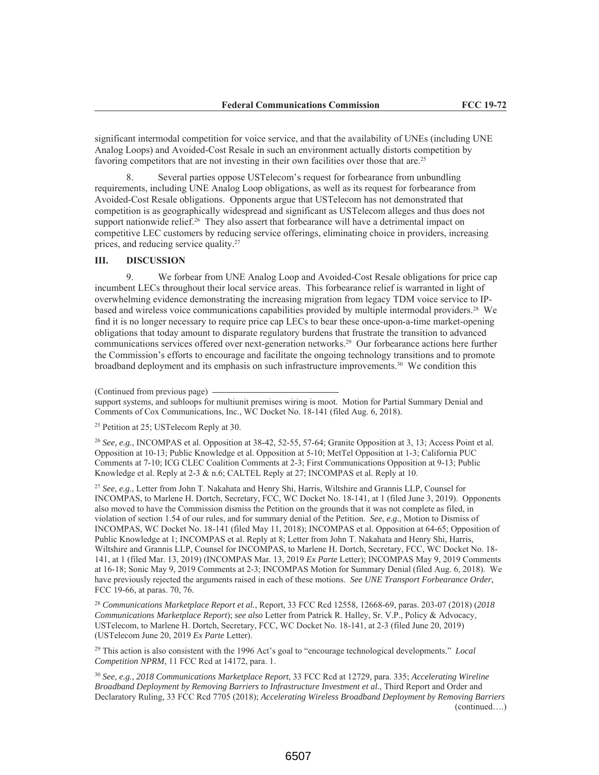significant intermodal competition for voice service, and that the availability of UNEs (including UNE Analog Loops) and Avoided-Cost Resale in such an environment actually distorts competition by favoring competitors that are not investing in their own facilities over those that are.<sup>25</sup>

Several parties oppose USTelecom's request for forbearance from unbundling  $\mathcal{R}$ requirements, including UNE Analog Loop obligations, as well as its request for forbearance from Avoided-Cost Resale obligations. Opponents argue that USTelecom has not demonstrated that competition is as geographically widespread and significant as UST elecom alleges and thus does not support nationwide relief.<sup>26</sup> They also assert that forbearance will have a detrimental impact on competitive LEC customers by reducing service offerings, eliminating choice in providers, increasing prices, and reducing service quality.<sup>27</sup>

#### **DISCUSSION** III.

 $\mathbf Q$ We forbear from UNE Analog Loop and Avoided-Cost Resale obligations for price cap incumbent LECs throughout their local service areas. This forbearance relief is warranted in light of overwhelming evidence demonstrating the increasing migration from legacy TDM voice service to IPbased and wireless voice communications capabilities provided by multiple intermodal providers.<sup>28</sup> We find it is no longer necessary to require price cap LECs to bear these once-upon-a-time market-opening obligations that today amount to disparate regulatory burdens that frustrate the transition to advanced communications services offered over next-generation networks.<sup>29</sup> Our forbearance actions here further the Commission's efforts to encourage and facilitate the ongoing technology transitions and to promote broadband deployment and its emphasis on such infrastructure improvements.<sup>30</sup> We condition this

<sup>27</sup> See, e.g., Letter from John T. Nakahata and Henry Shi, Harris, Wiltshire and Grannis LLP, Counsel for INCOMPAS, to Marlene H. Dortch, Secretary, FCC, WC Docket No. 18-141, at 1 (filed June 3, 2019). Opponents also moved to have the Commission dismiss the Petition on the grounds that it was not complete as filed, in violation of section 1.54 of our rules, and for summary denial of the Petition. See, e.g., Motion to Dismiss of INCOMPAS, WC Docket No. 18-141 (filed May 11, 2018); INCOMPAS et al. Opposition at 64-65; Opposition of Public Knowledge at 1; INCOMPAS et al. Reply at 8; Letter from John T. Nakahata and Henry Shi, Harris, Wiltshire and Grannis LLP, Counsel for INCOMPAS, to Marlene H. Dortch, Secretary, FCC, WC Docket No. 18-141, at 1 (filed Mar. 13, 2019) (INCOMPAS Mar. 13, 2019 Ex Parte Letter); INCOMPAS May 9, 2019 Comments at 16-18; Sonic May 9, 2019 Comments at 2-3; INCOMPAS Motion for Summary Denial (filed Aug. 6, 2018). We have previously rejected the arguments raised in each of these motions. See UNE Transport Forbearance Order, FCC 19-66, at paras. 70, 76.

<sup>28</sup> Communications Marketplace Report et al., Report, 33 FCC Rcd 12558, 12668-69, paras. 203-07 (2018) (2018 Communications Marketplace Report); see also Letter from Patrick R. Halley, Sr. V.P., Policy & Advocacy, USTelecom, to Marlene H. Dortch, Secretary, FCC, WC Docket No. 18-141, at 2-3 (filed June 20, 2019) (USTelecom June 20, 2019 Ex Parte Letter).

 $^{29}$  This action is also consistent with the 1996 Act's goal to "encourage technological developments." Local Competition NPRM, 11 FCC Rcd at 14172, para. 1.

 $^{30}$  See, e.g., 2018 Communications Marketplace Report, 33 FCC Rcd at 12729, para. 335; Accelerating Wireline Broadband Deployment by Removing Barriers to Infrastructure Investment et al., Third Report and Order and Declaratory Ruling, 33 FCC Rcd 7705 (2018); Accelerating Wireless Broadband Deployment by Removing Barriers  $(continued...)$ 

<sup>(</sup>Continued from previous page)

support systems, and subloops for multiunit premises wiring is moot. Motion for Partial Summary Denial and Comments of Cox Communications, Inc., WC Docket No. 18-141 (filed Aug. 6, 2018).

<sup>&</sup>lt;sup>25</sup> Petition at 25; USTelecom Reply at 30.

<sup>&</sup>lt;sup>26</sup> See, e.g., INCOMPAS et al. Opposition at  $38-42$ ,  $52-55$ ,  $57-64$ ; Granite Opposition at 3, 13; Access Point et al. Opposition at 10-13; Public Knowledge et al. Opposition at 5-10; MetTel Opposition at 1-3; California PUC Comments at 7-10; ICG CLEC Coalition Comments at 2-3; First Communications Opposition at 9-13; Public Knowledge et al. Reply at 2-3 & n.6; CALTEL Reply at 27; INCOMPAS et al. Reply at 10.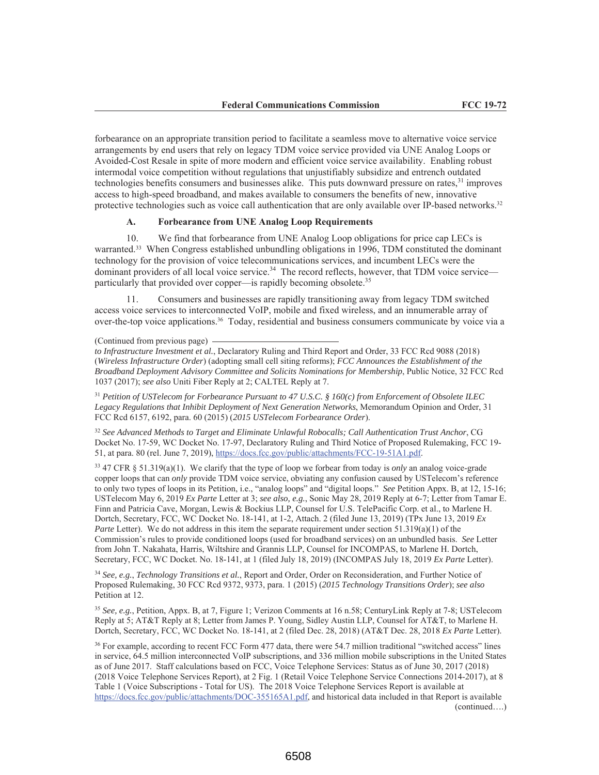forbearance on an appropriate transition period to facilitate a seamless move to alternative voice service arrangements by end users that rely on legacy TDM voice service provided via UNE Analog Loops or Avoided-Cost Resale in spite of more modern and efficient voice service availability. Enabling robust intermodal voice competition without regulations that unjustifiably subsidize and entrench outdated technologies benefits consumers and businesses alike. This puts downward pressure on rates,<sup>31</sup> improves access to high-speed broadband, and makes available to consumers the benefits of new, innovative protective technologies such as voice call authentication that are only available over IP-based networks.<sup>32</sup>

#### A. **Forbearance from UNE Analog Loop Requirements**

10. We find that forbearance from UNE Analog Loop obligations for price cap LECs is warranted.<sup>33</sup> When Congress established unbundling obligations in 1996, TDM constituted the dominant technology for the provision of voice telecommunications services, and incumbent LECs were the dominant providers of all local voice service.<sup>34</sup> The record reflects, however, that TDM voice service particularly that provided over copper—is rapidly becoming obsolete.<sup>35</sup>

Consumers and businesses are rapidly transitioning away from legacy TDM switched  $11$ access voice services to interconnected VoIP, mobile and fixed wireless, and an innumerable array of over-the-top voice applications.<sup>36</sup> Today, residential and business consumers communicate by voice via a

(Continued from previous page)

to Infrastructure Investment et al., Declaratory Ruling and Third Report and Order, 33 FCC Rcd 9088 (2018) (Wireless Infrastructure Order) (adopting small cell siting reforms); FCC Announces the Establishment of the Broadband Deployment Advisory Committee and Solicits Nominations for Membership, Public Notice, 32 FCC Rcd 1037 (2017); see also Uniti Fiber Reply at 2; CALTEL Reply at 7.

 $31$  Petition of USTelecom for Forbearance Pursuant to 47 U.S.C. § 160(c) from Enforcement of Obsolete ILEC Legacy Regulations that Inhibit Deployment of Next Generation Networks, Memorandum Opinion and Order, 31 FCC Rcd 6157, 6192, para. 60 (2015) (2015 USTelecom Forbearance Order).

<sup>32</sup> See Advanced Methods to Target and Eliminate Unlawful Robocalls; Call Authentication Trust Anchor, CG Docket No. 17-59, WC Docket No. 17-97, Declaratory Ruling and Third Notice of Proposed Rulemaking, FCC 19-51, at para. 80 (rel. June 7, 2019), https://docs.fcc.gov/public/attachments/FCC-19-51A1.pdf.

 $33$  47 CFR § 51.319(a)(1). We clarify that the type of loop we forbear from today is *only* an analog voice-grade copper loops that can only provide TDM voice service, obviating any confusion caused by USTelecom's reference to only two types of loops in its Petition, i.e., "analog loops" and "digital loops." See Petition Appx. B, at 12, 15-16; USTelecom May 6, 2019 Ex Parte Letter at 3; see also, e.g., Sonic May 28, 2019 Reply at 6-7; Letter from Tamar E. Finn and Patricia Cave, Morgan, Lewis & Bockius LLP, Counsel for U.S. TelePacific Corp. et al., to Marlene H. Dortch, Secretary, FCC, WC Docket No. 18-141, at 1-2, Attach. 2 (filed June 13, 2019) (TPx June 13, 2019 Ex Parte Letter). We do not address in this item the separate requirement under section  $51.319(a)(1)$  of the Commission's rules to provide conditioned loops (used for broadband services) on an unbundled basis. See Letter from John T. Nakahata, Harris, Wiltshire and Grannis LLP, Counsel for INCOMPAS, to Marlene H. Dortch, Secretary, FCC, WC Docket. No. 18-141, at 1 (filed July 18, 2019) (INCOMPAS July 18, 2019 Ex Parte Letter).

<sup>34</sup> See, e.g., Technology Transitions et al., Report and Order, Order on Reconsideration, and Further Notice of Proposed Rulemaking, 30 FCC Rcd 9372, 9373, para. 1 (2015) (2015 Technology Transitions Order); see also Petition at 12.

<sup>35</sup> See, e.g., Petition, Appx. B, at 7, Figure 1; Verizon Comments at 16 n.58; CenturyLink Reply at 7-8; USTelecom Reply at 5; AT&T Reply at 8; Letter from James P. Young, Sidley Austin LLP, Counsel for AT&T, to Marlene H. Dortch, Secretary, FCC, WC Docket No. 18-141, at 2 (filed Dec. 28, 2018) (AT&T Dec. 28, 2018 Ex Parte Letter).

<sup>36</sup> For example, according to recent FCC Form 477 data, there were 54.7 million traditional "switched access" lines in service, 64.5 million interconnected VoIP subscriptions, and 336 million mobile subscriptions in the United States as of June 2017. Staff calculations based on FCC, Voice Telephone Services: Status as of June 30, 2017 (2018) (2018 Voice Telephone Services Report), at 2 Fig. 1 (Retail Voice Telephone Service Connections 2014-2017), at 8 Table 1 (Voice Subscriptions - Total for US). The 2018 Voice Telephone Services Report is available at https://docs.fcc.gov/public/attachments/DOC-355165A1.pdf, and historical data included in that Report is available  $(continued...)$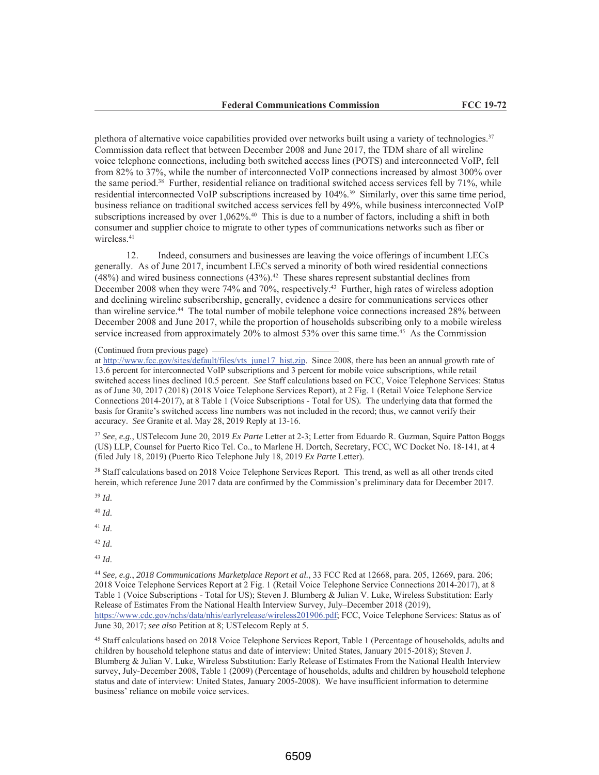plethora of alternative voice capabilities provided over networks built using a variety of technologies.<sup>37</sup> Commission data reflect that between December 2008 and June 2017, the TDM share of all wireline voice telephone connections, including both switched access lines (POTS) and interconnected VoIP, fell from 82% to 37%, while the number of interconnected VoIP connections increased by almost 300% over the same period.<sup>38</sup> Further, residential reliance on traditional switched access services fell by 71%, while residential interconnected VoIP subscriptions increased by 104%.<sup>39</sup> Similarly, over this same time period, business reliance on traditional switched access services fell by 49%, while business interconnected VoIP subscriptions increased by over 1,062%.<sup>40</sup> This is due to a number of factors, including a shift in both consumer and supplier choice to migrate to other types of communications networks such as fiber or wireless.<sup>41</sup>

12. Indeed, consumers and businesses are leaving the voice offerings of incumbent LECs generally. As of June 2017, incumbent LECs served a minority of both wired residential connections  $(48%)$  and wired business connections  $(43%)$ .<sup>42</sup> These shares represent substantial declines from December 2008 when they were 74% and 70%, respectively.<sup>43</sup> Further, high rates of wireless adoption and declining wireline subscribership, generally, evidence a desire for communications services other than wireline service.<sup>44</sup> The total number of mobile telephone voice connections increased 28% between December 2008 and June 2017, while the proportion of households subscribing only to a mobile wireless service increased from approximately 20% to almost 53% over this same time.<sup>45</sup> As the Commission

(Continued from previous page)

at http://www.fcc.gov/sites/default/files/vts june17 hist.zip. Since 2008, there has been an annual growth rate of 13.6 percent for interconnected VoIP subscriptions and 3 percent for mobile voice subscriptions, while retail switched access lines declined 10.5 percent. See Staff calculations based on FCC, Voice Telephone Services: Status as of June 30, 2017 (2018) (2018 Voice Telephone Services Report), at 2 Fig. 1 (Retail Voice Telephone Service Connections 2014-2017), at 8 Table 1 (Voice Subscriptions - Total for US). The underlying data that formed the basis for Granite's switched access line numbers was not included in the record; thus, we cannot verify their accuracy. See Granite et al. May 28, 2019 Reply at 13-16.

 $37$  See, e.g., USTelecom June 20, 2019 Ex Parte Letter at 2-3; Letter from Eduardo R. Guzman, Squire Patton Boggs (US) LLP, Counsel for Puerto Rico Tel. Co., to Marlene H. Dortch, Secretary, FCC, WC Docket No. 18-141, at 4 (filed July 18, 2019) (Puerto Rico Telephone July 18, 2019 Ex Parte Letter).

<sup>38</sup> Staff calculations based on 2018 Voice Telephone Services Report. This trend, as well as all other trends cited herein, which reference June 2017 data are confirmed by the Commission's preliminary data for December 2017.

 $39$  Id.

 $40$  Id.

 $41$  *Id.* 

 $42$  Id.

 $43$  *Id.* 

<sup>44</sup> See, e.g., 2018 Communications Marketplace Report et al., 33 FCC Rcd at 12668, para. 205, 12669, para. 206; 2018 Voice Telephone Services Report at 2 Fig. 1 (Retail Voice Telephone Service Connections 2014-2017), at 8 Table 1 (Voice Subscriptions - Total for US); Steven J. Blumberg & Julian V. Luke, Wireless Substitution: Early Release of Estimates From the National Health Interview Survey, July-December 2018 (2019), https://www.cdc.gov/nchs/data/nhis/earlyrelease/wireless201906.pdf; FCC, Voice Telephone Services: Status as of June 30, 2017; see also Petition at 8; USTelecom Reply at 5.

<sup>45</sup> Staff calculations based on 2018 Voice Telephone Services Report, Table 1 (Percentage of households, adults and children by household telephone status and date of interview: United States, January 2015-2018); Steven J. Blumberg & Julian V. Luke, Wireless Substitution: Early Release of Estimates From the National Health Interview survey, July-December 2008, Table 1 (2009) (Percentage of households, adults and children by household telephone status and date of interview: United States, January 2005-2008). We have insufficient information to determine business' reliance on mobile voice services.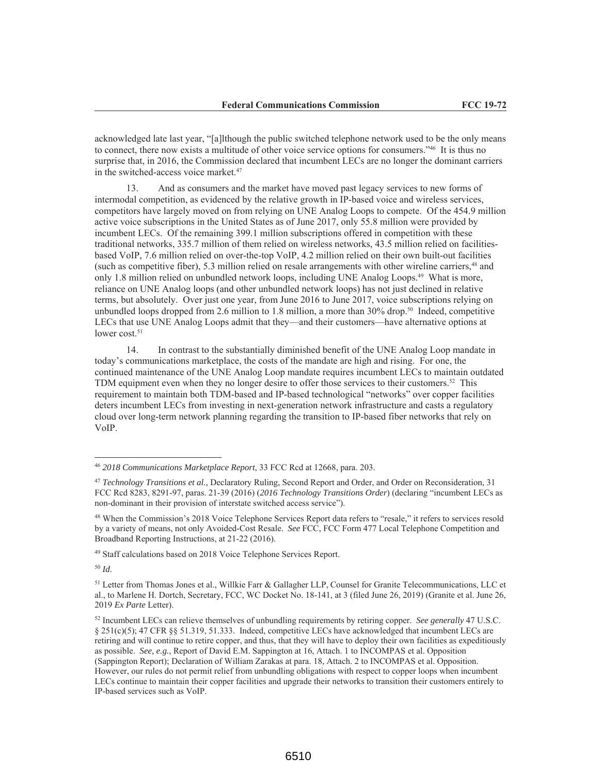acknowledged late last year, "[a]lthough the public switched telephone network used to be the only means to connect, there now exists a multitude of other voice service options for consumers."46 It is thus no surprise that, in 2016, the Commission declared that incumbent LECs are no longer the dominant carriers in the switched-access voice market.<sup>47</sup>

13. And as consumers and the market have moved past legacy services to new forms of intermodal competition, as evidenced by the relative growth in IP-based voice and wireless services, competitors have largely moved on from relying on UNE Analog Loops to compete. Of the 454.9 million active voice subscriptions in the United States as of June 2017, only 55.8 million were provided by incumbent LECs. Of the remaining 399.1 million subscriptions offered in competition with these traditional networks, 335.7 million of them relied on wireless networks, 43.5 million relied on facilitiesbased VoIP, 7.6 million relied on over-the-top VoIP, 4.2 million relied on their own built-out facilities (such as competitive fiber), 5.3 million relied on resale arrangements with other wireline carriers,<sup>48</sup> and only 1.8 million relied on unbundled network loops, including UNE Analog Loops.<sup>49</sup> What is more, reliance on UNE Analog loops (and other unbundled network loops) has not just declined in relative terms, but absolutely. Over just one year, from June 2016 to June 2017, voice subscriptions relying on unbundled loops dropped from 2.6 million to 1.8 million, a more than 30% drop.<sup>50</sup> Indeed, competitive LECs that use UNE Analog Loops admit that they—and their customers—have alternative options at lower cost.<sup>51</sup>

In contrast to the substantially diminished benefit of the UNE Analog Loop mandate in 14. today's communications marketplace, the costs of the mandate are high and rising. For one, the continued maintenance of the UNE Analog Loop mandate requires incumbent LECs to maintain outdated TDM equipment even when they no longer desire to offer those services to their customers.<sup>52</sup> This requirement to maintain both TDM-based and IP-based technological "networks" over copper facilities deters incumbent LECs from investing in next-generation network infrastructure and casts a regulatory cloud over long-term network planning regarding the transition to IP-based fiber networks that rely on  $VoIP.$ 

<sup>49</sup> Staff calculations based on 2018 Voice Telephone Services Report.

 $50$  Id.

<sup>&</sup>lt;sup>46</sup> 2018 Communications Marketplace Report, 33 FCC Rcd at 12668, para. 203.

<sup>&</sup>lt;sup>47</sup> Technology Transitions et al., Declaratory Ruling, Second Report and Order, and Order on Reconsideration, 31 FCC Red 8283, 8291-97, paras. 21-39 (2016) (2016 Technology Transitions Order) (declaring "incumbent LECs as non-dominant in their provision of interstate switched access service").

<sup>&</sup>lt;sup>48</sup> When the Commission's 2018 Voice Telephone Services Report data refers to "resale," it refers to services resold by a variety of means, not only Avoided-Cost Resale. See FCC, FCC Form 477 Local Telephone Competition and Broadband Reporting Instructions, at 21-22 (2016).

<sup>&</sup>lt;sup>51</sup> Letter from Thomas Jones et al., Willkie Farr & Gallagher LLP, Counsel for Granite Telecommunications, LLC et al., to Marlene H. Dortch, Secretary, FCC, WC Docket No. 18-141, at 3 (filed June 26, 2019) (Granite et al. June 26, 2019 Ex Parte Letter).

<sup>&</sup>lt;sup>52</sup> Incumbent LECs can relieve themselves of unbundling requirements by retiring copper. See generally 47 U.S.C.  $\S$  251(c)(5); 47 CFR §§ 51.319, 51.333. Indeed, competitive LECs have acknowledged that incumbent LECs are retiring and will continue to retire copper, and thus, that they will have to deploy their own facilities as expeditiously as possible. See, e.g., Report of David E.M. Sappington at 16, Attach. 1 to INCOMPAS et al. Opposition (Sappington Report); Declaration of William Zarakas at para. 18, Attach. 2 to INCOMPAS et al. Opposition. However, our rules do not permit relief from unbundling obligations with respect to copper loops when incumbent LECs continue to maintain their copper facilities and upgrade their networks to transition their customers entirely to IP-based services such as VoIP.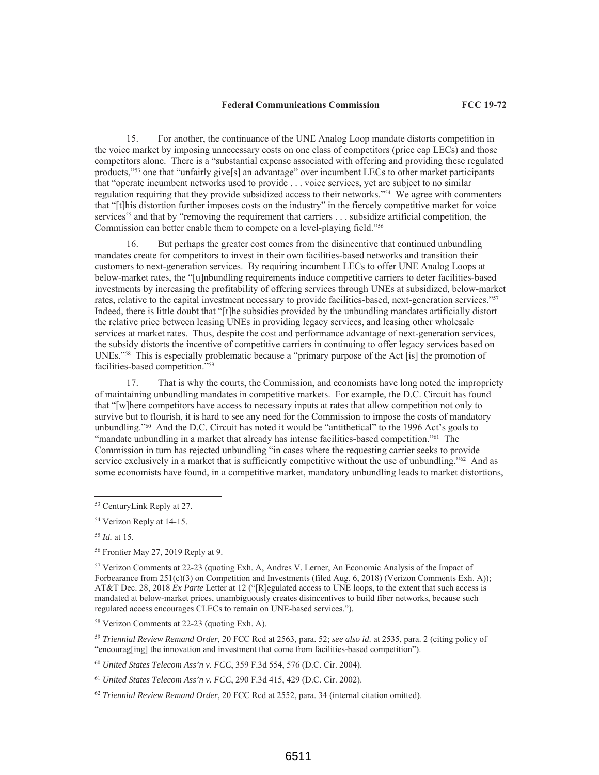For another, the continuance of the UNE Analog Loop mandate distorts competition in  $15.$ the voice market by imposing unnecessary costs on one class of competitors (price cap LECs) and those competitors alone. There is a "substantial expense associated with offering and providing these regulated products,"<sup>53</sup> one that "unfairly give[s] an advantage" over incumbent LECs to other market participants that "operate incumbent networks used to provide . . . voice services, yet are subject to no similar regulation requiring that they provide subsidized access to their networks."<sup>54</sup> We agree with commenters that "[t]his distortion further imposes costs on the industry" in the fiercely competitive market for voice services<sup>55</sup> and that by "removing the requirement that carriers . . . subsidize artificial competition, the Commission can better enable them to compete on a level-playing field."56

But perhaps the greater cost comes from the disincentive that continued unbundling  $16.$ mandates create for competitors to invest in their own facilities-based networks and transition their customers to next-generation services. By requiring incumbent LECs to offer UNE Analog Loops at below-market rates, the "[u]nbundling requirements induce competitive carriers to deter facilities-based investments by increasing the profitability of offering services through UNEs at subsidized, below-market rates, relative to the capital investment necessary to provide facilities-based, next-generation services."<sup>57</sup> Indeed, there is little doubt that "[t]he subsidies provided by the unbundling mandates artificially distort the relative price between leasing UNEs in providing legacy services, and leasing other wholesale services at market rates. Thus, despite the cost and performance advantage of next-generation services, the subsidy distorts the incentive of competitive carriers in continuing to offer legacy services based on UNEs."<sup>58</sup> This is especially problematic because a "primary purpose of the Act [is] the promotion of facilities-based competition."59

That is why the courts, the Commission, and economists have long noted the impropriety 17. of maintaining unbundling mandates in competitive markets. For example, the D.C. Circuit has found that "[w] here competitors have access to necessary inputs at rates that allow competition not only to survive but to flourish, it is hard to see any need for the Commission to impose the costs of mandatory unbundling."<sup>60</sup> And the D.C. Circuit has noted it would be "antithetical" to the 1996 Act's goals to "mandate unbundling in a market that already has intense facilities-based competition." The Commission in turn has rejected unbundling "in cases where the requesting carrier seeks to provide service exclusively in a market that is sufficiently competitive without the use of unbundling."<sup>62</sup> And as some economists have found, in a competitive market, mandatory unbundling leads to market distortions,

<sup>59</sup> Triennial Review Remand Order, 20 FCC Rcd at 2563, para. 52; see also id. at 2535, para. 2 (citing policy of "encourag[ing] the innovation and investment that come from facilities-based competition").

60 United States Telecom Ass'n v. FCC, 359 F.3d 554, 576 (D.C. Cir. 2004).

 $^{61}$  United States Telecom Ass'n v. FCC, 290 F.3d 415, 429 (D.C. Cir. 2002).

 $62$  Triennial Review Remand Order, 20 FCC Rcd at 2552, para. 34 (internal citation omitted).

<sup>&</sup>lt;sup>53</sup> CenturyLink Reply at 27.

<sup>&</sup>lt;sup>54</sup> Verizon Reply at 14-15.

 $55$  *Id.* at 15.

<sup>&</sup>lt;sup>56</sup> Frontier May 27, 2019 Reply at 9.

<sup>&</sup>lt;sup>57</sup> Verizon Comments at 22-23 (quoting Exh. A, Andres V. Lerner, An Economic Analysis of the Impact of Forbearance from  $251(c)(3)$  on Competition and Investments (filed Aug. 6, 2018) (Verizon Comments Exh. A)); AT&T Dec. 28, 2018 Ex Parte Letter at 12 ("[R] egulated access to UNE loops, to the extent that such access is mandated at below-market prices, unambiguously creates disincentives to build fiber networks, because such regulated access encourages CLECs to remain on UNE-based services.").

<sup>&</sup>lt;sup>58</sup> Verizon Comments at 22-23 (quoting Exh. A).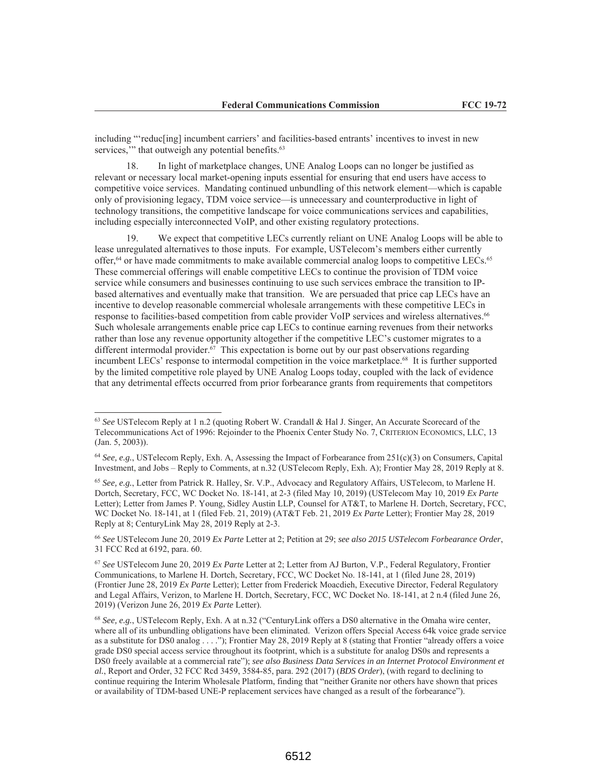including "'reducling] incumbent carriers' and facilities-based entrants' incentives to invest in new services," that outweigh any potential benefits.<sup>63</sup>

In light of marketplace changes, UNE Analog Loops can no longer be justified as 18. relevant or necessary local market-opening inputs essential for ensuring that end users have access to competitive voice services. Mandating continued unbundling of this network element—which is capable only of provisioning legacy, TDM voice service—is unnecessary and counterproductive in light of technology transitions, the competitive landscape for voice communications services and capabilities, including especially interconnected VoIP, and other existing regulatory protections.

19. We expect that competitive LECs currently reliant on UNE Analog Loops will be able to lease unregulated alternatives to those inputs. For example, USTelecom's members either currently offer,<sup>64</sup> or have made commitments to make available commercial analog loops to competitive LECs.<sup>65</sup> These commercial offerings will enable competitive LECs to continue the provision of TDM voice service while consumers and businesses continuing to use such services embrace the transition to IPbased alternatives and eventually make that transition. We are persuaded that price cap LECs have an incentive to develop reasonable commercial wholesale arrangements with these competitive LECs in response to facilities-based competition from cable provider VoIP services and wireless alternatives.<sup>66</sup> Such wholesale arrangements enable price cap LECs to continue earning revenues from their networks rather than lose any revenue opportunity altogether if the competitive LEC's customer migrates to a different intermodal provider.<sup>67</sup> This expectation is borne out by our past observations regarding incumbent LECs' response to intermodal competition in the voice marketplace.<sup>68</sup> It is further supported by the limited competitive role played by UNE Analog Loops today, coupled with the lack of evidence that any detrimental effects occurred from prior forbearance grants from requirements that competitors

<sup>66</sup> See USTelecom June 20, 2019 Ex Parte Letter at 2; Petition at 29; see also 2015 USTelecom Forbearance Order, 31 FCC Rcd at 6192, para. 60.

67 See USTelecom June 20, 2019 Ex Parte Letter at 2; Letter from AJ Burton, V.P., Federal Regulatory, Frontier Communications, to Marlene H. Dortch, Secretary, FCC, WC Docket No. 18-141, at 1 (filed June 28, 2019) (Frontier June 28, 2019 Ex Parte Letter); Letter from Frederick Moacdieh, Executive Director, Federal Regulatory and Legal Affairs, Verizon, to Marlene H. Dortch, Secretary, FCC, WC Docket No. 18-141, at 2 n.4 (filed June 26, 2019) (Verizon June 26, 2019 Ex Parte Letter).

 $^{68}$  See, e.g., USTelecom Reply, Exh. A at n.32 ("Century Link offers a DS0 alternative in the Omaha wire center, where all of its unbundling obligations have been eliminated. Verizon offers Special Access 64k voice grade service as a substitute for DS0 analog . . . ."); Frontier May 28, 2019 Reply at 8 (stating that Frontier "already offers a voice grade DS0 special access service throughout its footprint, which is a substitute for analog DS0s and represents a DS0 freely available at a commercial rate"); see also Business Data Services in an Internet Protocol Environment et al., Report and Order, 32 FCC Rcd 3459, 3584-85, para. 292 (2017) (BDS Order), (with regard to declining to continue requiring the Interim Wholesale Platform, finding that "neither Granite nor others have shown that prices or availability of TDM-based UNE-P replacement services have changed as a result of the forbearance").

 $^{63}$  See UST elecom Reply at 1 n.2 (quoting Robert W. Crandall & Hal J. Singer, An Accurate Scorecard of the Telecommunications Act of 1996: Rejoinder to the Phoenix Center Study No. 7, CRITERION ECONOMICS, LLC, 13  $(Jan. 5, 2003)).$ 

<sup>&</sup>lt;sup>64</sup> See, e.g., USTelecom Reply, Exh. A, Assessing the Impact of Forbearance from 251(c)(3) on Consumers, Capital Investment, and Jobs – Reply to Comments, at n.32 (USTelecom Reply, Exh. A); Frontier May 28, 2019 Reply at 8.

 $^{65}$  See, e.g., Letter from Patrick R. Halley, Sr. V.P., Advocacy and Regulatory Affairs, USTelecom, to Marlene H. Dortch, Secretary, FCC, WC Docket No. 18-141, at 2-3 (filed May 10, 2019) (USTelecom May 10, 2019 Ex Parte Letter); Letter from James P. Young, Sidley Austin LLP, Counsel for AT&T, to Marlene H. Dortch, Secretary, FCC, WC Docket No. 18-141, at 1 (filed Feb. 21, 2019) (AT&T Feb. 21, 2019 Ex Parte Letter); Frontier May 28, 2019 Reply at 8; CenturyLink May 28, 2019 Reply at 2-3.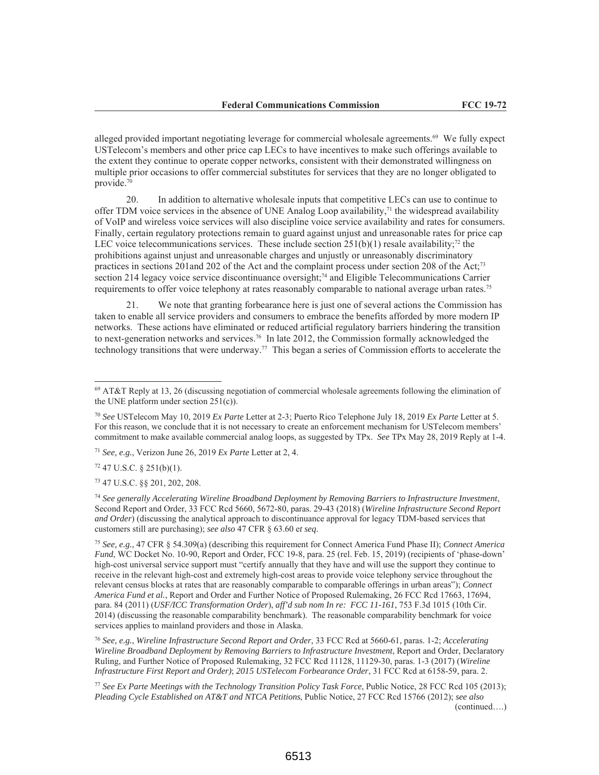alleged provided important negotiating leverage for commercial wholesale agreements.<sup>69</sup> We fully expect UST elecom's members and other price cap LECs to have incentives to make such offerings available to the extent they continue to operate copper networks, consistent with their demonstrated willingness on multiple prior occasions to offer commercial substitutes for services that they are no longer obligated to provide.70

In addition to alternative wholesale inputs that competitive LECs can use to continue to 20. offer TDM voice services in the absence of UNE Analog Loop availability, $7<sup>1</sup>$  the widespread availability of VoIP and wireless voice services will also discipline voice service availability and rates for consumers. Finally, certain regulatory protections remain to guard against unjust and unreasonable rates for price cap LEC voice telecommunications services. These include section  $251(b)(1)$  resale availability;<sup>72</sup> the prohibitions against unjust and unreasonable charges and unjustly or unreasonably discriminatory practices in sections 201 and 202 of the Act and the complaint process under section 208 of the Act;<sup>73</sup> section 214 legacy voice service discontinuance oversight;<sup>74</sup> and Eligible Telecommunications Carrier requirements to offer voice telephony at rates reasonably comparable to national average urban rates.<sup>75</sup>

21. We note that granting forbearance here is just one of several actions the Commission has taken to enable all service providers and consumers to embrace the benefits afforded by more modern IP networks. These actions have eliminated or reduced artificial regulatory barriers hindering the transition to next-generation networks and services.<sup>76</sup> In late 2012, the Commission formally acknowledged the technology transitions that were underway.<sup>77</sup> This began a series of Commission efforts to accelerate the

<sup>71</sup> See, e.g., Verizon June 26, 2019 Ex Parte Letter at 2, 4.

 $72$  47 U.S.C. § 251(b)(1).

73 47 U.S.C. §§ 201, 202, 208.

 $74$  See generally Accelerating Wireline Broadband Deployment by Removing Barriers to Infrastructure Investment, Second Report and Order, 33 FCC Rcd 5660, 5672-80, paras. 29-43 (2018) (Wireline Infrastructure Second Report and Order) (discussing the analytical approach to discontinuance approval for legacy TDM-based services that customers still are purchasing); see also 47 CFR § 63.60 et seq.

<sup>75</sup> See, e.g., 47 CFR § 54.309(a) (describing this requirement for Connect America Fund Phase II); Connect America Fund, WC Docket No. 10-90, Report and Order, FCC 19-8, para. 25 (rel. Feb. 15, 2019) (recipients of 'phase-down' high-cost universal service support must "certify annually that they have and will use the support they continue to receive in the relevant high-cost and extremely high-cost areas to provide voice telephony service throughout the relevant census blocks at rates that are reasonably comparable to comparable offerings in urban areas"); Connect America Fund et al., Report and Order and Further Notice of Proposed Rulemaking, 26 FCC Rcd 17663, 17694, para. 84 (2011) (USF/ICC Transformation Order), aff'd sub nom In re: FCC 11-161, 753 F.3d 1015 (10th Cir. 2014) (discussing the reasonable comparability benchmark). The reasonable comparability benchmark for voice services applies to mainland providers and those in Alaska.

<sup>76</sup> See, e.g., Wireline Infrastructure Second Report and Order, 33 FCC Rcd at 5660-61, paras. 1-2; Accelerating Wireline Broadband Deployment by Removing Barriers to Infrastructure Investment, Report and Order, Declaratory Ruling, and Further Notice of Proposed Rulemaking, 32 FCC Rcd 11128, 11129-30, paras. 1-3 (2017) (Wireline Infrastructure First Report and Order); 2015 USTelecom Forbearance Order, 31 FCC Rcd at 6158-59, para. 2.

<sup>77</sup> See Ex Parte Meetings with the Technology Transition Policy Task Force, Public Notice, 28 FCC Rcd 105 (2013); Pleading Cycle Established on AT&T and NTCA Petitions, Public Notice, 27 FCC Rcd 15766 (2012); see also  $(continued...)$ 

6513

 $69$  AT&T Reply at 13, 26 (discussing negotiation of commercial wholesale agreements following the elimination of the UNE platform under section  $251(c)$ ).

<sup>&</sup>lt;sup>70</sup> See USTelecom May 10, 2019 Ex Parte Letter at 2-3; Puerto Rico Telephone July 18, 2019 Ex Parte Letter at 5. For this reason, we conclude that it is not necessary to create an enforcement mechanism for USTelecom members' commitment to make available commercial analog loops, as suggested by TPx. See TPx May 28, 2019 Reply at 1-4.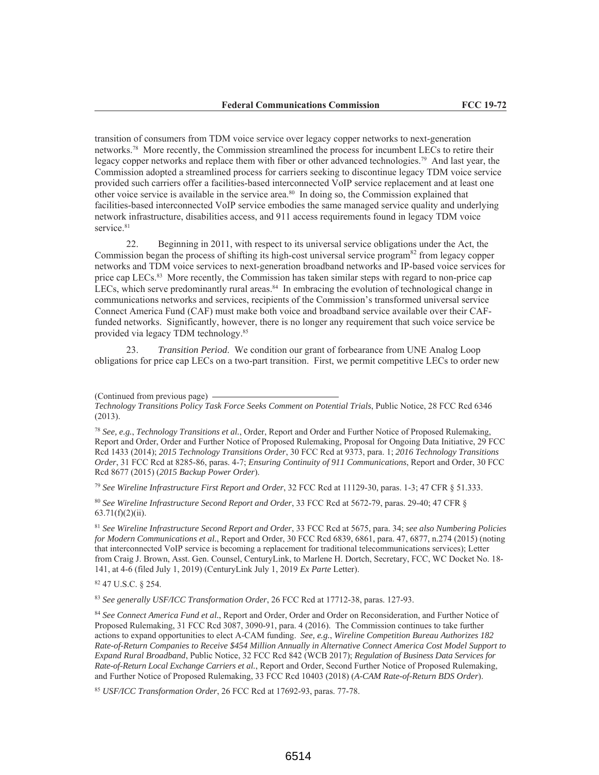transition of consumers from TDM voice service over legacy copper networks to next-generation networks.<sup>78</sup> More recently, the Commission streamlined the process for incumbent LECs to retire their legacy copper networks and replace them with fiber or other advanced technologies.<sup>79</sup> And last year, the Commission adopted a streamlined process for carriers seeking to discontinue legacy TDM voice service provided such carriers offer a facilities-based interconnected VoIP service replacement and at least one other voice service is available in the service area.<sup>80</sup> In doing so, the Commission explained that facilities-based interconnected VoIP service embodies the same managed service quality and underlying network infrastructure, disabilities access, and 911 access requirements found in legacy TDM voice service.81

Beginning in 2011, with respect to its universal service obligations under the Act, the 22. Commission began the process of shifting its high-cost universal service program<sup>82</sup> from legacy copper networks and TDM voice services to next-generation broadband networks and IP-based voice services for price cap LECs.<sup>83</sup> More recently, the Commission has taken similar steps with regard to non-price cap LECs, which serve predominantly rural areas.<sup>84</sup> In embracing the evolution of technological change in communications networks and services, recipients of the Commission's transformed universal service Connect America Fund (CAF) must make both voice and broadband service available over their CAFfunded networks. Significantly, however, there is no longer any requirement that such voice service be provided via legacy TDM technology.<sup>85</sup>

Transition Period. We condition our grant of forbearance from UNE Analog Loop  $23$ obligations for price cap LECs on a two-part transition. First, we permit competitive LECs to order new

<sup>78</sup> See, e.g., Technology Transitions et al., Order, Report and Order and Further Notice of Proposed Rulemaking, Report and Order, Order and Further Notice of Proposed Rulemaking, Proposal for Ongoing Data Initiative, 29 FCC Red 1433 (2014); 2015 Technology Transitions Order, 30 FCC Red at 9373, para. 1; 2016 Technology Transitions Order, 31 FCC Rcd at 8285-86, paras. 4-7; Ensuring Continuity of 911 Communications, Report and Order, 30 FCC Rcd 8677 (2015) (2015 Backup Power Order).

<sup>79</sup> See Wireline Infrastructure First Report and Order, 32 FCC Rcd at 11129-30, paras. 1-3; 47 CFR  $\S$  51.333.

80 See Wireline Infrastructure Second Report and Order, 33 FCC Rcd at 5672-79, paras. 29-40; 47 CFR §  $63.71(f)(2)(ii)$ .

<sup>81</sup> See Wireline Infrastructure Second Report and Order, 33 FCC Rcd at 5675, para. 34; see also Numbering Policies for Modern Communications et al., Report and Order, 30 FCC Rcd 6839, 6861, para. 47, 6877, n.274 (2015) (noting that interconnected VoIP service is becoming a replacement for traditional telecommunications services); Letter from Craig J. Brown, Asst. Gen. Counsel, CenturyLink, to Marlene H. Dortch, Secretary, FCC, WC Docket No. 18-141, at 4-6 (filed July 1, 2019) (CenturyLink July 1, 2019 Ex Parte Letter).

82 47 U.S.C. § 254.

<sup>83</sup> See generally USF/ICC Transformation Order, 26 FCC Rcd at 17712-38, paras. 127-93.

84 See Connect America Fund et al., Report and Order, Order and Order on Reconsideration, and Further Notice of Proposed Rulemaking, 31 FCC Rcd 3087, 3090-91, para. 4 (2016). The Commission continues to take further actions to expand opportunities to elect A-CAM funding. See, e.g., Wireline Competition Bureau Authorizes 182 Rate-of-Return Companies to Receive \$454 Million Annually in Alternative Connect America Cost Model Support to Expand Rural Broadband, Public Notice, 32 FCC Rcd 842 (WCB 2017); Regulation of Business Data Services for Rate-of-Return Local Exchange Carriers et al., Report and Order, Second Further Notice of Proposed Rulemaking, and Further Notice of Proposed Rulemaking, 33 FCC Rcd 10403 (2018) (A-CAM Rate-of-Return BDS Order).

<sup>85</sup> USF/ICC Transformation Order, 26 FCC Rcd at 17692-93, paras. 77-78.

<sup>(</sup>Continued from previous page)

Technology Transitions Policy Task Force Seeks Comment on Potential Trials, Public Notice, 28 FCC Rcd 6346  $(2013).$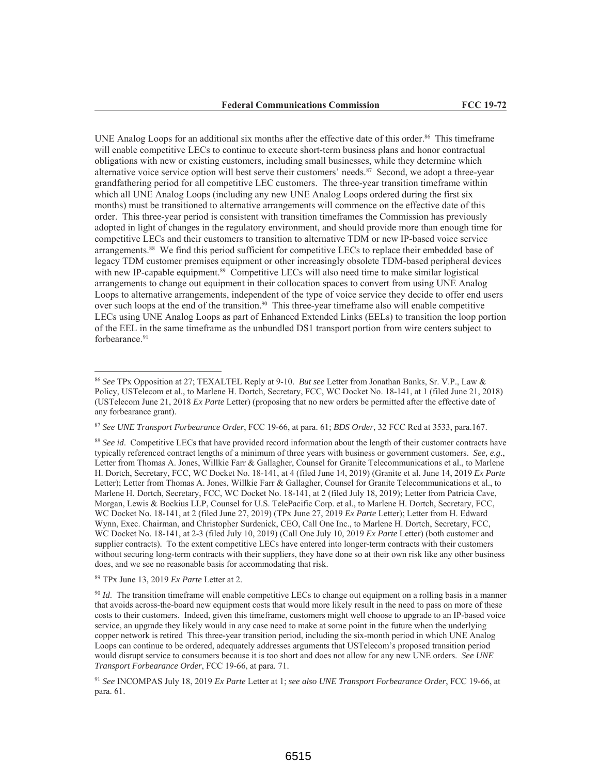UNE Analog Loops for an additional six months after the effective date of this order.<sup>86</sup> This timeframe will enable competitive LECs to continue to execute short-term business plans and honor contractual obligations with new or existing customers, including small businesses, while they determine which alternative voice service option will best serve their customers' needs.<sup>87</sup> Second, we adopt a three-year grandfathering period for all competitive LEC customers. The three-year transition timeframe within which all UNE Analog Loops (including any new UNE Analog Loops ordered during the first six months) must be transitioned to alternative arrangements will commence on the effective date of this order. This three-year period is consistent with transition time frames the Commission has previously adopted in light of changes in the regulatory environment, and should provide more than enough time for competitive LECs and their customers to transition to alternative TDM or new IP-based voice service arrangements.<sup>88</sup> We find this period sufficient for competitive LECs to replace their embedded base of legacy TDM customer premises equipment or other increasingly obsolete TDM-based peripheral devices with new IP-capable equipment.<sup>89</sup> Competitive LECs will also need time to make similar logistical arrangements to change out equipment in their collocation spaces to convert from using UNE Analog Loops to alternative arrangements, independent of the type of voice service they decide to offer end users over such loops at the end of the transition.<sup>90</sup> This three-year timeframe also will enable competitive LECs using UNE Analog Loops as part of Enhanced Extended Links (EELs) to transition the loop portion of the EEL in the same timeframe as the unbundled DS1 transport portion from wire centers subject to forbearance.<sup>91</sup>

 $89$  TPx June 13, 2019 Ex Parte Letter at 2.

<sup>&</sup>lt;sup>86</sup> See TPx Opposition at 27; TEXALTEL Reply at 9-10. But see Letter from Jonathan Banks, Sr. V.P., Law & Policy, USTelecom et al., to Marlene H. Dortch, Secretary, FCC, WC Docket No. 18-141, at 1 (filed June 21, 2018) (USTelecom June 21, 2018 Ex Parte Letter) (proposing that no new orders be permitted after the effective date of any forbearance grant).

<sup>&</sup>lt;sup>87</sup> See UNE Transport Forbearance Order, FCC 19-66, at para. 61; BDS Order, 32 FCC Rcd at 3533, para. 167.

<sup>&</sup>lt;sup>88</sup> See id. Competitive LECs that have provided record information about the length of their customer contracts have typically referenced contract lengths of a minimum of three years with business or government customers. See, e.g., Letter from Thomas A. Jones, Willkie Farr & Gallagher, Counsel for Granite Telecommunications et al., to Marlene H. Dortch, Secretary, FCC, WC Docket No. 18-141, at 4 (filed June 14, 2019) (Granite et al. June 14, 2019 Ex Parte Letter); Letter from Thomas A. Jones, Willkie Farr & Gallagher, Counsel for Granite Telecommunications et al., to Marlene H. Dortch, Secretary, FCC, WC Docket No. 18-141, at 2 (filed July 18, 2019); Letter from Patricia Cave, Morgan, Lewis & Bockius LLP, Counsel for U.S. TelePacific Corp. et al., to Marlene H. Dortch, Secretary, FCC, WC Docket No. 18-141, at 2 (filed June 27, 2019) (TPx June 27, 2019 Ex Parte Letter); Letter from H. Edward Wynn, Exec. Chairman, and Christopher Surdenick, CEO, Call One Inc., to Marlene H. Dortch, Secretary, FCC, WC Docket No. 18-141, at 2-3 (filed July 10, 2019) (Call One July 10, 2019 Ex Parte Letter) (both customer and supplier contracts). To the extent competitive LECs have entered into longer-term contracts with their customers without securing long-term contracts with their suppliers, they have done so at their own risk like any other business does, and we see no reasonable basis for accommodating that risk.

 $\frac{90}{1}$  *Id.* The transition timeframe will enable competitive LECs to change out equipment on a rolling basis in a manner that avoids across-the-board new equipment costs that would more likely result in the need to pass on more of these costs to their customers. Indeed, given this timeframe, customers might well choose to upgrade to an IP-based voice service, an upgrade they likely would in any case need to make at some point in the future when the underlying copper network is retired This three-year transition period, including the six-month period in which UNE Analog Loops can continue to be ordered, adequately addresses arguments that USTelecom's proposed transition period would disrupt service to consumers because it is too short and does not allow for any new UNE orders. See UNE Transport Forbearance Order, FCC 19-66, at para. 71.

<sup>&</sup>lt;sup>91</sup> See INCOMPAS July 18, 2019 Ex Parte Letter at 1; see also UNE Transport Forbearance Order, FCC 19-66, at para. 61.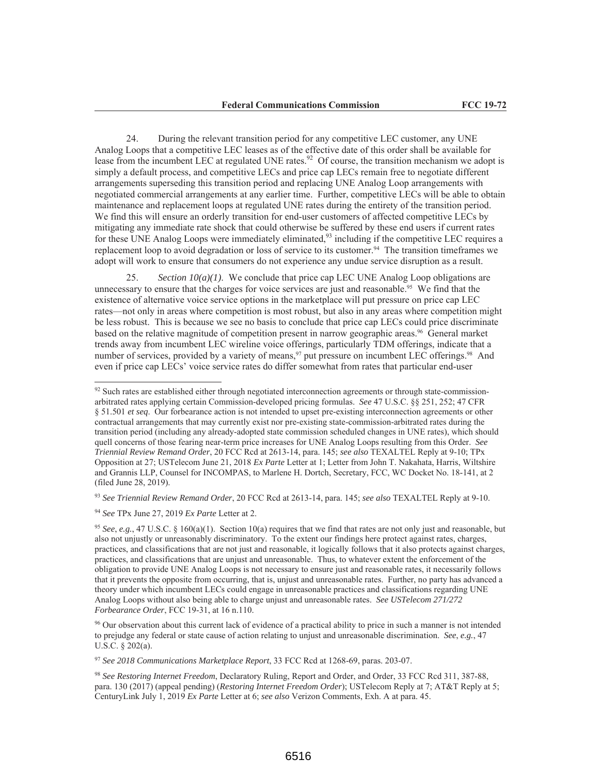24. During the relevant transition period for any competitive LEC customer, any UNE Analog Loops that a competitive LEC leases as of the effective date of this order shall be available for lease from the incumbent LEC at regulated UNE rates.<sup>92</sup> Of course, the transition mechanism we adopt is simply a default process, and competitive LECs and price cap LECs remain free to negotiate different arrangements superseding this transition period and replacing UNE Analog Loop arrangements with negotiated commercial arrangements at any earlier time. Further, competitive LECs will be able to obtain maintenance and replacement loops at regulated UNE rates during the entirety of the transition period. We find this will ensure an orderly transition for end-user customers of affected competitive LECs by mitigating any immediate rate shock that could otherwise be suffered by these end users if current rates for these UNE Analog Loops were immediately eliminated,<sup>93</sup> including if the competitive LEC requires a replacement loop to avoid degradation or loss of service to its customer.<sup>94</sup> The transition timeframes we adopt will work to ensure that consumers do not experience any undue service disruption as a result.

25. Section  $10(a)(1)$ . We conclude that price cap LEC UNE Analog Loop obligations are unnecessary to ensure that the charges for voice services are just and reasonable.<sup>95</sup> We find that the existence of alternative voice service options in the marketplace will put pressure on price cap LEC rates—not only in areas where competition is most robust, but also in any areas where competition might be less robust. This is because we see no basis to conclude that price cap LECs could price discriminate based on the relative magnitude of competition present in narrow geographic areas.<sup>96</sup> General market trends away from incumbent LEC wireline voice offerings, particularly TDM offerings, indicate that a number of services, provided by a variety of means,<sup>97</sup> put pressure on incumbent LEC offerings.<sup>98</sup> And even if price cap LECs' voice service rates do differ somewhat from rates that particular end-user

<sup>93</sup> See Triennial Review Remand Order, 20 FCC Rcd at 2613-14, para. 145; see also TEXALTEL Reply at 9-10.

<sup>94</sup> See TPx June 27, 2019 Ex Parte Letter at 2.

<sup>97</sup> See 2018 Communications Marketplace Report, 33 FCC Rcd at 1268-69, paras. 203-07.

 $92$  Such rates are established either through negotiated interconnection agreements or through state-commissionarbitrated rates applying certain Commission-developed pricing formulas. See 47 U.S.C. §§ 251, 252; 47 CFR § 51.501 et seq. Our forbearance action is not intended to upset pre-existing interconnection agreements or other contractual arrangements that may currently exist nor pre-existing state-commission-arbitrated rates during the transition period (including any already-adopted state commission scheduled changes in UNE rates), which should quell concerns of those fearing near-term price increases for UNE Analog Loops resulting from this Order. See Triennial Review Remand Order, 20 FCC Rcd at 2613-14, para. 145; see also TEXALTEL Reply at 9-10; TPx Opposition at 27; USTelecom June 21, 2018 Ex Parte Letter at 1; Letter from John T. Nakahata, Harris, Wiltshire and Grannis LLP, Counsel for INCOMPAS, to Marlene H. Dortch, Secretary, FCC, WC Docket No. 18-141, at 2 (filed June 28, 2019).

<sup>&</sup>lt;sup>95</sup> See, e.g., 47 U.S.C. § 160(a)(1). Section 10(a) requires that we find that rates are not only just and reasonable, but also not unjustly or unreasonably discriminatory. To the extent our findings here protect against rates, charges, practices, and classifications that are not just and reasonable, it logically follows that it also protects against charges, practices, and classifications that are unjust and unreasonable. Thus, to whatever extent the enforcement of the obligation to provide UNE Analog Loops is not necessary to ensure just and reasonable rates, it necessarily follows that it prevents the opposite from occurring, that is, unjust and unreasonable rates. Further, no party has advanced a theory under which incumbent LECs could engage in unreasonable practices and classifications regarding UNE Analog Loops without also being able to charge unjust and unreasonable rates. See USTelecom 271/272 Forbearance Order, FCC 19-31, at 16 n.110.

<sup>&</sup>lt;sup>96</sup> Our observation about this current lack of evidence of a practical ability to price in such a manner is not intended to prejudge any federal or state cause of action relating to unjust and unreasonable discrimination. See, e.g., 47 U.S.C. § 202(a).

<sup>&</sup>lt;sup>98</sup> See Restoring Internet Freedom, Declaratory Ruling, Report and Order, and Order, 33 FCC Rcd 311, 387-88, para. 130 (2017) (appeal pending) (Restoring Internet Freedom Order); USTelecom Reply at 7; AT&T Reply at 5; CenturyLink July 1, 2019 Ex Parte Letter at 6; see also Verizon Comments, Exh. A at para. 45.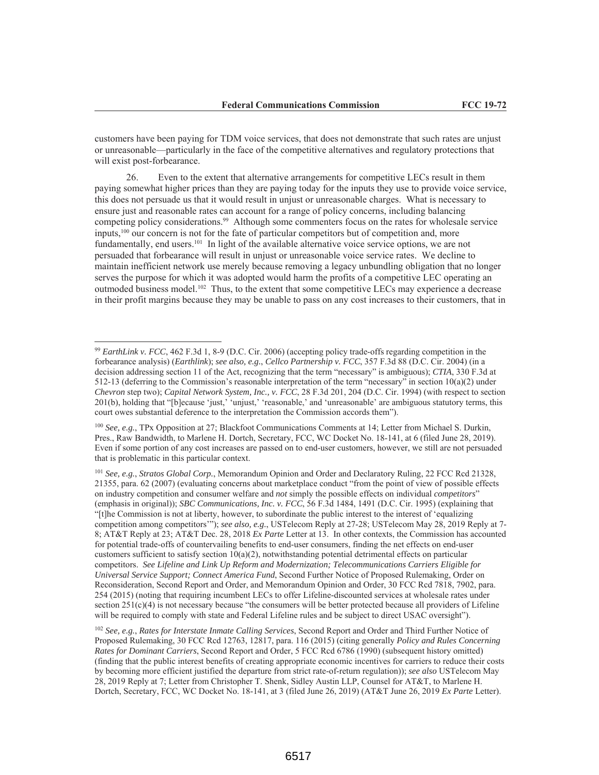customers have been paying for TDM voice services, that does not demonstrate that such rates are unjust or unreasonable—particularly in the face of the competitive alternatives and regulatory protections that will exist post-forbearance.

26. Even to the extent that alternative arrangements for competitive LECs result in them paying somewhat higher prices than they are paying today for the inputs they use to provide voice service, this does not persuade us that it would result in unjust or unreasonable charges. What is necessary to ensure just and reasonable rates can account for a range of policy concerns, including balancing competing policy considerations.<sup>99</sup> Although some commenters focus on the rates for wholesale service inputs,<sup>100</sup> our concern is not for the fate of particular competitors but of competition and, more fundamentally, end users. $101$  In light of the available alternative voice service options, we are not persuaded that forbearance will result in unjust or unreasonable voice service rates. We decline to maintain inefficient network use merely because removing a legacy unbundling obligation that no longer serves the purpose for which it was adopted would harm the profits of a competitive LEC operating an outmoded business model.<sup>102</sup> Thus, to the extent that some competitive LECs may experience a decrease in their profit margins because they may be unable to pass on any cost increases to their customers, that in

<sup>&</sup>lt;sup>99</sup> EarthLink v. FCC, 462 F.3d 1, 8-9 (D.C. Cir. 2006) (accepting policy trade-offs regarding competition in the forbearance analysis) (Earthlink); see also, e.g., Cellco Partnership v. FCC, 357 F.3d 88 (D.C. Cir. 2004) (in a decision addressing section 11 of the Act, recognizing that the term "necessary" is ambiguous); CTIA, 330 F.3d at 512-13 (deferring to the Commission's reasonable interpretation of the term "necessary" in section  $10(a)(2)$  under Chevron step two); Capital Network System, Inc., v. FCC, 28 F.3d 201, 204 (D.C. Cir. 1994) (with respect to section 201(b), holding that "[b]ecause 'just,' 'unjust,' 'reasonable,' and 'unreasonable' are ambiguous statutory terms, this court owes substantial deference to the interpretation the Commission accords them").

 $100$  See, e.g., TPx Opposition at 27; Blackfoot Communications Comments at 14; Letter from Michael S. Durkin, Pres., Raw Bandwidth, to Marlene H. Dortch, Secretary, FCC, WC Docket No. 18-141, at 6 (filed June 28, 2019). Even if some portion of any cost increases are passed on to end-user customers, however, we still are not persuaded that is problematic in this particular context.

<sup>&</sup>lt;sup>101</sup> See, e.g., Stratos Global Corp., Memorandum Opinion and Order and Declaratory Ruling, 22 FCC Rcd 21328, 21355, para. 62 (2007) (evaluating concerns about marketplace conduct "from the point of view of possible effects on industry competition and consumer welfare and *not* simply the possible effects on individual *competitors*" (emphasis in original)); SBC Communications, Inc. v. FCC, 56 F.3d 1484, 1491 (D.C. Cir. 1995) (explaining that "[t]he Commission is not at liberty, however, to subordinate the public interest to the interest of 'equalizing competition among competitors""); see also, e.g., USTelecom Reply at 27-28; USTelecom May 28, 2019 Reply at 7-8; AT&T Reply at 23; AT&T Dec. 28, 2018 Ex Parte Letter at 13. In other contexts, the Commission has accounted for potential trade-offs of countervailing benefits to end-user consumers, finding the net effects on end-user customers sufficient to satisfy section  $10(a)(2)$ , notwithstanding potential detrimental effects on particular competitors. See Lifeline and Link Up Reform and Modernization; Telecommunications Carriers Eligible for Universal Service Support; Connect America Fund, Second Further Notice of Proposed Rulemaking, Order on Reconsideration, Second Report and Order, and Memorandum Opinion and Order, 30 FCC Rcd 7818, 7902, para. 254 (2015) (noting that requiring incumbent LECs to offer Lifeline-discounted services at wholesale rates under section  $251(c)(4)$  is not necessary because "the consumers will be better protected because all providers of Lifeline will be required to comply with state and Federal Lifeline rules and be subject to direct USAC oversight").

<sup>&</sup>lt;sup>102</sup> See, e.g., Rates for Interstate Inmate Calling Services, Second Report and Order and Third Further Notice of Proposed Rulemaking, 30 FCC Rcd 12763, 12817, para. 116 (2015) (citing generally Policy and Rules Concerning Rates for Dominant Carriers, Second Report and Order, 5 FCC Rcd 6786 (1990) (subsequent history omitted) (finding that the public interest benefits of creating appropriate economic incentives for carriers to reduce their costs by becoming more efficient justified the departure from strict rate-of-return regulation)); see also USTelecom May 28, 2019 Reply at 7; Letter from Christopher T. Shenk, Sidley Austin LLP, Counsel for AT&T, to Marlene H. Dortch, Secretary, FCC, WC Docket No. 18-141, at 3 (filed June 26, 2019) (AT&T June 26, 2019 Ex Parte Letter).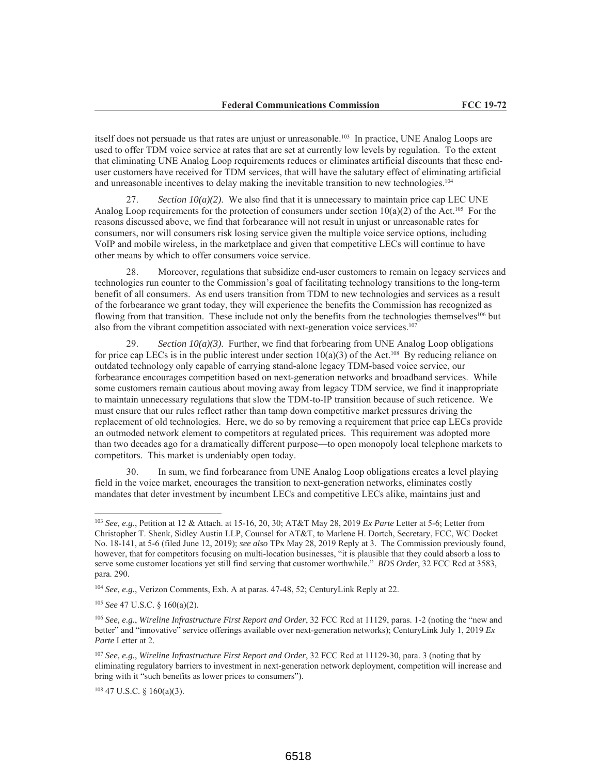itself does not persuade us that rates are unjust or unreasonable.<sup>103</sup> In practice, UNE Analog Loops are used to offer TDM voice service at rates that are set at currently low levels by regulation. To the extent that eliminating UNE Analog Loop requirements reduces or eliminates artificial discounts that these enduser customers have received for TDM services, that will have the salutary effect of eliminating artificial and unreasonable incentives to delay making the inevitable transition to new technologies.<sup>104</sup>

Section  $10(a)(2)$ . We also find that it is unnecessary to maintain price cap LEC UNE 27. Analog Loop requirements for the protection of consumers under section  $10(a)(2)$  of the Act.<sup>105</sup> For the reasons discussed above, we find that forbearance will not result in unjust or unreasonable rates for consumers, nor will consumers risk losing service given the multiple voice service options, including VoIP and mobile wireless, in the marketplace and given that competitive LECs will continue to have other means by which to offer consumers voice service.

Moreover, regulations that subsidize end-user customers to remain on legacy services and 28. technologies run counter to the Commission's goal of facilitating technology transitions to the long-term benefit of all consumers. As end users transition from TDM to new technologies and services as a result of the forbearance we grant today, they will experience the benefits the Commission has recognized as flowing from that transition. These include not only the benefits from the technologies themselves<sup>106</sup> but also from the vibrant competition associated with next-generation voice services.<sup>107</sup>

Section  $10(a)(3)$ . Further, we find that forbearing from UNE Analog Loop obligations for price cap LECs is in the public interest under section  $10(a)(3)$  of the Act.<sup>108</sup> By reducing reliance on outdated technology only capable of carrying stand-alone legacy TDM-based voice service, our forbearance encourages competition based on next-generation networks and broadband services. While some customers remain cautious about moving away from legacy TDM service, we find it inappropriate to maintain unnecessary regulations that slow the TDM-to-IP transition because of such reticence. We must ensure that our rules reflect rather than tamp down competitive market pressures driving the replacement of old technologies. Here, we do so by removing a requirement that price cap LECs provide an outmoded network element to competitors at regulated prices. This requirement was adopted more than two decades ago for a dramatically different purpose—to open monopoly local telephone markets to competitors. This market is undeniably open today.

In sum, we find forbearance from UNE Analog Loop obligations creates a level playing 30 field in the voice market, encourages the transition to next-generation networks, eliminates costly mandates that deter investment by incumbent LECs and competitive LECs alike, maintains just and

 $^{103}$  See, e.g., Petition at 12 & Attach. at 15-16, 20, 30; AT&T May 28, 2019 Ex Parte Letter at 5-6; Letter from Christopher T. Shenk, Sidley Austin LLP, Counsel for AT&T, to Marlene H. Dortch, Secretary, FCC, WC Docket No. 18-141, at 5-6 (filed June 12, 2019); see also TPx May 28, 2019 Reply at 3. The Commission previously found, however, that for competitors focusing on multi-location businesses, "it is plausible that they could absorb a loss to serve some customer locations yet still find serving that customer worthwhile." BDS Order, 32 FCC Rcd at 3583, para. 290.

<sup>&</sup>lt;sup>104</sup> See, e.g., Verizon Comments, Exh. A at paras. 47-48, 52; CenturyLink Reply at 22.

 $105$  See 47 U.S.C. § 160(a)(2).

<sup>&</sup>lt;sup>106</sup> See, e.g., Wireline Infrastructure First Report and Order, 32 FCC Rcd at 11129, paras. 1-2 (noting the "new and better" and "innovative" service offerings available over next-generation networks); CenturyLink July 1, 2019  $Ex$ Parte Letter at 2.

<sup>&</sup>lt;sup>107</sup> See, e.g., Wireline Infrastructure First Report and Order, 32 FCC Rcd at 11129-30, para. 3 (noting that by eliminating regulatory barriers to investment in next-generation network deployment, competition will increase and bring with it "such benefits as lower prices to consumers").

 $108$  47 U.S.C. § 160(a)(3).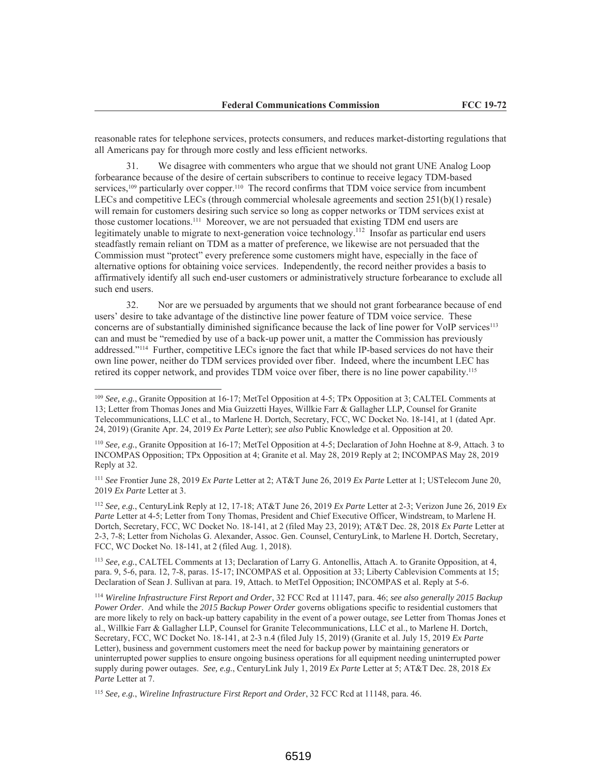reasonable rates for telephone services, protects consumers, and reduces market-distorting regulations that all Americans pay for through more costly and less efficient networks.

We disagree with commenters who argue that we should not grant UNE Analog Loop  $31.$ forbearance because of the desire of certain subscribers to continue to receive legacy TDM-based services,  $^{109}$  particularly over copper.<sup>110</sup> The record confirms that TDM voice service from incumbent LECs and competitive LECs (through commercial wholesale agreements and section  $251(b)(1)$  resale) will remain for customers desiring such service so long as copper networks or TDM services exist at those customer locations.<sup>111</sup> Moreover, we are not persuaded that existing TDM end users are legitimately unable to migrate to next-generation voice technology.<sup>112</sup> Insofar as particular end users steadfastly remain reliant on TDM as a matter of preference, we likewise are not persuaded that the Commission must "protect" every preference some customers might have, especially in the face of alternative options for obtaining voice services. Independently, the record neither provides a basis to affirmatively identify all such end-user customers or administratively structure forbearance to exclude all such end users.

 $32.$ Nor are we persuaded by arguments that we should not grant forbearance because of end users' desire to take advantage of the distinctive line power feature of TDM voice service. These concerns are of substantially diminished significance because the lack of line power for VoIP services<sup>113</sup> can and must be "remedied by use of a back-up power unit, a matter the Commission has previously addressed."<sup>114</sup> Further, competitive LECs ignore the fact that while IP-based services do not have their own line power, neither do TDM services provided over fiber. Indeed, where the incumbent LEC has retired its copper network, and provides TDM voice over fiber, there is no line power capability.<sup>115</sup>

<sup>111</sup> See Frontier June 28, 2019 Ex Parte Letter at 2; AT&T June 26, 2019 Ex Parte Letter at 1; USTelecom June 20, 2019 Ex Parte Letter at 3.

<sup>112</sup> See, e.g., CenturyLink Reply at 12, 17-18; AT&T June 26, 2019 Ex Parte Letter at 2-3; Verizon June 26, 2019 Ex Parte Letter at 4-5; Letter from Tony Thomas, President and Chief Executive Officer, Windstream, to Marlene H. Dortch, Secretary, FCC, WC Docket No. 18-141, at 2 (filed May 23, 2019); AT&T Dec. 28, 2018 Ex Parte Letter at 2-3, 7-8; Letter from Nicholas G. Alexander, Assoc. Gen. Counsel, CenturyLink, to Marlene H. Dortch, Secretary, FCC, WC Docket No. 18-141, at 2 (filed Aug. 1, 2018).

<sup>113</sup> See, e.g., CALTEL Comments at 13; Declaration of Larry G. Antonellis, Attach A. to Granite Opposition, at 4, para. 9, 5-6, para. 12, 7-8, paras. 15-17; INCOMPAS et al. Opposition at 33; Liberty Cablevision Comments at 15; Declaration of Sean J. Sullivan at para. 19, Attach. to MetTel Opposition; INCOMPAS et al. Reply at 5-6.

<sup>114</sup> Wireline Infrastructure First Report and Order, 32 FCC Rcd at 11147, para. 46; see also generally 2015 Backup Power Order. And while the 2015 Backup Power Order governs obligations specific to residential customers that are more likely to rely on back-up battery capability in the event of a power outage, see Letter from Thomas Jones et al., Willkie Farr & Gallagher LLP, Counsel for Granite Telecommunications, LLC et al., to Marlene H. Dortch, Secretary, FCC, WC Docket No. 18-141, at 2-3 n.4 (filed July 15, 2019) (Granite et al. July 15, 2019 Ex Parte Letter), business and government customers meet the need for backup power by maintaining generators or uninterrupted power supplies to ensure ongoing business operations for all equipment needing uninterrupted power supply during power outages. See, e.g., CenturyLink July 1, 2019 Ex Parte Letter at 5; AT&T Dec. 28, 2018 Ex Parte Letter at 7.

<sup>&</sup>lt;sup>109</sup> See, e.g., Granite Opposition at 16-17; MetTel Opposition at 4-5; TPx Opposition at 3; CALTEL Comments at 13; Letter from Thomas Jones and Mia Guizzetti Hayes, Willkie Farr & Gallagher LLP, Counsel for Granite Telecommunications, LLC et al., to Marlene H. Dortch, Secretary, FCC, WC Docket No. 18-141, at 1 (dated Apr. 24, 2019) (Granite Apr. 24, 2019 Ex Parte Letter); see also Public Knowledge et al. Opposition at 20.

<sup>&</sup>lt;sup>110</sup> See, e.g., Granite Opposition at 16-17; MetTel Opposition at 4-5; Declaration of John Hoehne at 8-9, Attach. 3 to INCOMPAS Opposition; TPx Opposition at 4; Granite et al. May 28, 2019 Reply at 2; INCOMPAS May 28, 2019 Reply at 32.

<sup>&</sup>lt;sup>115</sup> See, e.g., Wireline Infrastructure First Report and Order, 32 FCC Rcd at 11148, para. 46.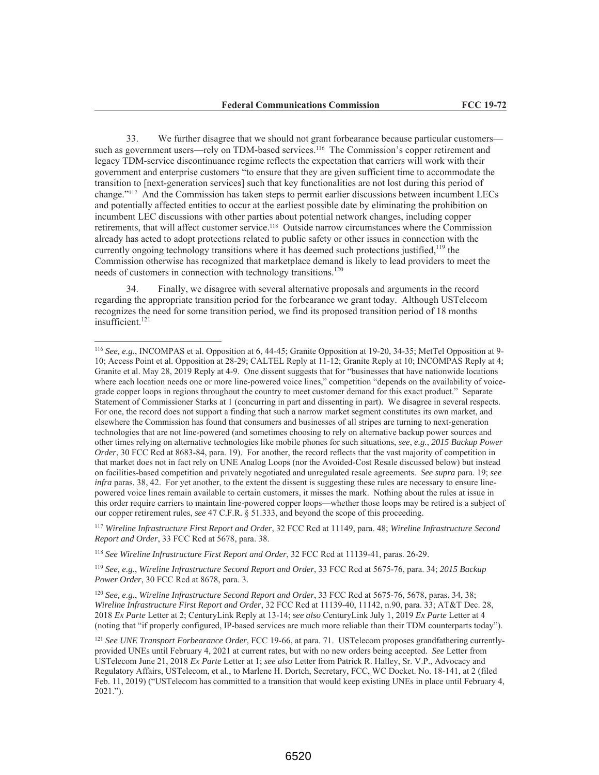33. We further disagree that we should not grant forbearance because particular customers such as government users—rely on TDM-based services.<sup>116</sup> The Commission's copper retirement and legacy TDM-service discontinuance regime reflects the expectation that carriers will work with their government and enterprise customers "to ensure that they are given sufficient time to accommodate the transition to [next-generation services] such that key functionalities are not lost during this period of change."<sup>117</sup> And the Commission has taken steps to permit earlier discussions between incumbent LECs and potentially affected entities to occur at the earliest possible date by eliminating the prohibition on incumbent LEC discussions with other parties about potential network changes, including copper retirements, that will affect customer service.<sup>118</sup> Outside narrow circumstances where the Commission already has acted to adopt protections related to public safety or other issues in connection with the currently ongoing technology transitions where it has deemed such protections justified,<sup>119</sup> the Commission otherwise has recognized that marketplace demand is likely to lead providers to meet the needs of customers in connection with technology transitions.<sup>120</sup>

Finally, we disagree with several alternative proposals and arguments in the record regarding the appropriate transition period for the forbearance we grant today. Although UST elecom recognizes the need for some transition period, we find its proposed transition period of 18 months insufficient.<sup>121</sup>

<sup>117</sup> Wireline Infrastructure First Report and Order, 32 FCC Rcd at 11149, para. 48; Wireline Infrastructure Second Report and Order, 33 FCC Rcd at 5678, para. 38.

<sup>118</sup> See Wireline Infrastructure First Report and Order, 32 FCC Rcd at 11139-41, paras. 26-29.

<sup>119</sup> See, e.g., Wireline Infrastructure Second Report and Order, 33 FCC Rcd at 5675-76, para. 34; 2015 Backup Power Order, 30 FCC Rcd at 8678, para. 3.

<sup>120</sup> See, e.g., Wireline Infrastructure Second Report and Order, 33 FCC Rcd at 5675-76, 5678, paras. 34, 38; Wireline Infrastructure First Report and Order, 32 FCC Rcd at 11139-40, 11142, n.90, para. 33; AT&T Dec. 28, 2018 Ex Parte Letter at 2; CenturyLink Reply at 13-14; see also CenturyLink July 1, 2019 Ex Parte Letter at 4 (noting that "if properly configured, IP-based services are much more reliable than their TDM counterparts today").

<sup>&</sup>lt;sup>116</sup> See, e.g., INCOMPAS et al. Opposition at 6, 44-45; Granite Opposition at 19-20, 34-35; MetTel Opposition at 9-10; Access Point et al. Opposition at 28-29; CALTEL Reply at 11-12; Granite Reply at 10; INCOMPAS Reply at 4; Granite et al. May 28, 2019 Reply at 4-9. One dissent suggests that for "businesses that have nationwide locations" where each location needs one or more line-powered voice lines," competition "depends on the availability of voicegrade copper loops in regions throughout the country to meet customer demand for this exact product." Separate Statement of Commissioner Starks at 1 (concurring in part and dissenting in part). We disagree in several respects. For one, the record does not support a finding that such a narrow market segment constitutes its own market, and elsewhere the Commission has found that consumers and businesses of all stripes are turning to next-generation technologies that are not line-powered (and sometimes choosing to rely on alternative backup power sources and other times relying on alternative technologies like mobile phones for such situations, see, e.g., 2015 Backup Power Order, 30 FCC Rcd at 8683-84, para. 19). For another, the record reflects that the vast majority of competition in that market does not in fact rely on UNE Analog Loops (nor the Avoided-Cost Resale discussed below) but instead on facilities-based competition and privately negotiated and unregulated resale agreements. See supra para. 19; see infra paras. 38, 42. For yet another, to the extent the dissent is suggesting these rules are necessary to ensure linepowered voice lines remain available to certain customers, it misses the mark. Nothing about the rules at issue in this order require carriers to maintain line-powered copper loops—whether those loops may be retired is a subject of our copper retirement rules, see 47 C.F.R. § 51.333, and beyond the scope of this proceeding.

<sup>&</sup>lt;sup>121</sup> See UNE Transport Forbearance Order, FCC 19-66, at para. 71. USTelecom proposes grandfathering currentlyprovided UNEs until February 4, 2021 at current rates, but with no new orders being accepted. See Letter from USTelecom June 21, 2018 Ex Parte Letter at 1; see also Letter from Patrick R. Halley, Sr. V.P., Advocacy and Regulatory Affairs, USTelecom, et al., to Marlene H. Dortch, Secretary, FCC, WC Docket. No. 18-141, at 2 (filed Feb. 11, 2019) ("USTelecom has committed to a transition that would keep existing UNEs in place until February 4,  $2021$ .").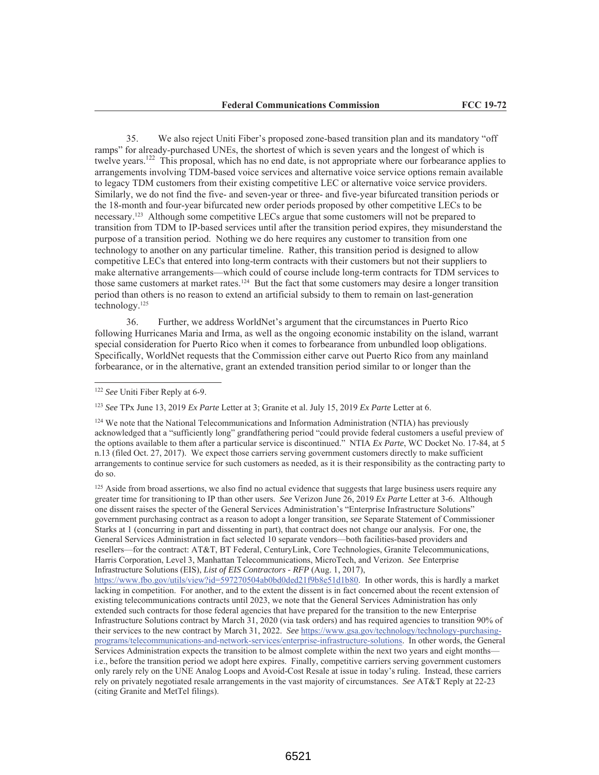35. We also reject Uniti Fiber's proposed zone-based transition plan and its mandatory "off ramps" for already-purchased UNEs, the shortest of which is seven years and the longest of which is twelve years.<sup>122</sup> This proposal, which has no end date, is not appropriate where our forbearance applies to arrangements involving TDM-based voice services and alternative voice service options remain available to legacy TDM customers from their existing competitive LEC or alternative voice service providers. Similarly, we do not find the five- and seven-year or three- and five-year bifurcated transition periods or the 18-month and four-year bifurcated new order periods proposed by other competitive LECs to be necessary.<sup>123</sup> Although some competitive LECs argue that some customers will not be prepared to transition from TDM to IP-based services until after the transition period expires, they misunderstand the purpose of a transition period. Nothing we do here requires any customer to transition from one technology to another on any particular timeline. Rather, this transition period is designed to allow competitive LECs that entered into long-term contracts with their customers but not their suppliers to make alternative arrangements—which could of course include long-term contracts for TDM services to those same customers at market rates.<sup>124</sup> But the fact that some customers may desire a longer transition period than others is no reason to extend an artificial subsidy to them to remain on last-generation technology.<sup>125</sup>

36. Further, we address WorldNet's argument that the circumstances in Puerto Rico following Hurricanes Maria and Irma, as well as the ongoing economic instability on the island, warrant special consideration for Puerto Rico when it comes to forbearance from unbundled loop obligations. Specifically, WorldNet requests that the Commission either carve out Puerto Rico from any mainland forbearance, or in the alternative, grant an extended transition period similar to or longer than the

<sup>123</sup> See TPx June 13, 2019 Ex Parte Letter at 3; Granite et al. July 15, 2019 Ex Parte Letter at 6.

<sup>124</sup> We note that the National Telecommunications and Information Administration (NTIA) has previously acknowledged that a "sufficiently long" grandfathering period "could provide federal customers a useful preview of the options available to them after a particular service is discontinued." NTIA Ex Parte, WC Docket No. 17-84, at 5 n.13 (filed Oct. 27, 2017). We expect those carriers serving government customers directly to make sufficient arrangements to continue service for such customers as needed, as it is their responsibility as the contracting party to do so.

<sup>125</sup> Aside from broad assertions, we also find no actual evidence that suggests that large business users require any greater time for transitioning to IP than other users. See Verizon June 26, 2019 Ex Parte Letter at 3-6. Although one dissent raises the specter of the General Services Administration's "Enterprise Infrastructure Solutions" government purchasing contract as a reason to adopt a longer transition, see Separate Statement of Commissioner Starks at 1 (concurring in part and dissenting in part), that contract does not change our analysis. For one, the General Services Administration in fact selected 10 separate vendors—both facilities-based providers and resellers—for the contract: AT&T, BT Federal, CenturyLink, Core Technologies, Granite Telecommunications, Harris Corporation, Level 3, Manhattan Telecommunications, MicroTech, and Verizon. See Enterprise Infrastructure Solutions (EIS), List of EIS Contractors - RFP (Aug. 1, 2017),

https://www.fbo.gov/utils/view?id=597270504ab0bd0ded21f9b8e51d1b80. In other words, this is hardly a market lacking in competition. For another, and to the extent the dissent is in fact concerned about the recent extension of existing telecommunications contracts until 2023, we note that the General Services Administration has only extended such contracts for those federal agencies that have prepared for the transition to the new Enterprise Infrastructure Solutions contract by March 31, 2020 (via task orders) and has required agencies to transition 90% of their services to the new contract by March 31, 2022. See https://www.gsa.gov/technology/technology-purchasingprograms/telecommunications-and-network-services/enterprise-infrastructure-solutions. In other words, the General Services Administration expects the transition to be almost complete within the next two years and eight months i.e., before the transition period we adopt here expires. Finally, competitive carriers serving government customers only rarely rely on the UNE Analog Loops and Avoid-Cost Resale at issue in today's ruling. Instead, these carriers rely on privately negotiated resale arrangements in the vast majority of circumstances. See AT&T Reply at 22-23 (citing Granite and MetTel filings).

<sup>&</sup>lt;sup>122</sup> See Uniti Fiber Reply at 6-9.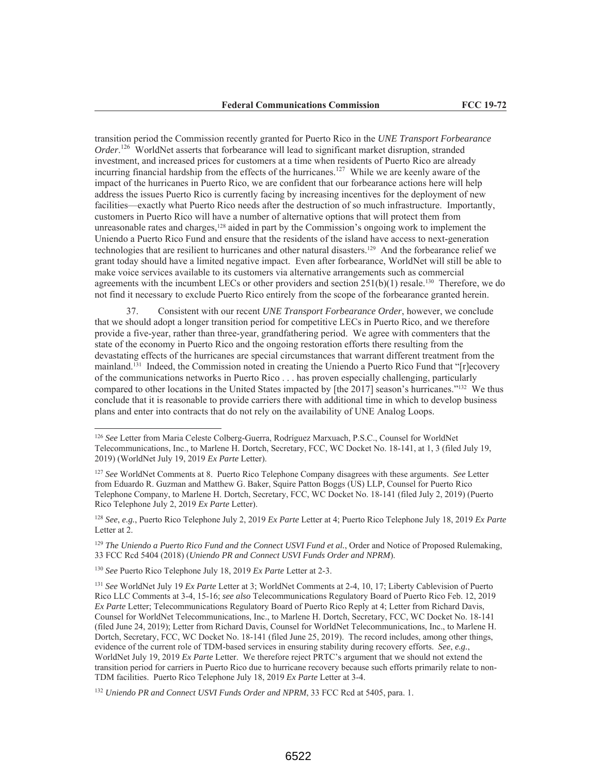transition period the Commission recently granted for Puerto Rico in the UNE Transport Forbearance  $Order$ <sup>126</sup> WorldNet asserts that forbearance will lead to significant market disruption, stranded investment, and increased prices for customers at a time when residents of Puerto Rico are already incurring financial hardship from the effects of the hurricanes.<sup>127</sup> While we are keenly aware of the impact of the hurricanes in Puerto Rico, we are confident that our forbearance actions here will help address the issues Puerto Rico is currently facing by increasing incentives for the deployment of new facilities—exactly what Puerto Rico needs after the destruction of so much infrastructure. Importantly, customers in Puerto Rico will have a number of alternative options that will protect them from unreasonable rates and charges,<sup>128</sup> aided in part by the Commission's ongoing work to implement the Uniendo a Puerto Rico Fund and ensure that the residents of the island have access to next-generation technologies that are resilient to hurricanes and other natural disasters.<sup>129</sup> And the forbearance relief we grant today should have a limited negative impact. Even after forbearance, WorldNet will still be able to make voice services available to its customers via alternative arrangements such as commercial agreements with the incumbent LECs or other providers and section  $251(b)(1)$  resale.<sup>130</sup> Therefore, we do not find it necessary to exclude Puerto Rico entirely from the scope of the forbearance granted herein.

37. Consistent with our recent UNE Transport Forbearance Order, however, we conclude that we should adopt a longer transition period for competitive LECs in Puerto Rico, and we therefore provide a five-year, rather than three-year, grandfathering period. We agree with commenters that the state of the economy in Puerto Rico and the ongoing restoration efforts there resulting from the devastating effects of the hurricanes are special circumstances that warrant different treatment from the mainland.<sup>131</sup> Indeed, the Commission noted in creating the Uniendo a Puerto Rico Fund that "[r]ecovery of the communications networks in Puerto Rico . . . has proven especially challenging, particularly compared to other locations in the United States impacted by [the 2017] season's hurricanes."<sup>132</sup> We thus conclude that it is reasonable to provide carriers there with additional time in which to develop business plans and enter into contracts that do not rely on the availability of UNE Analog Loops.

<sup>&</sup>lt;sup>126</sup> See Letter from Maria Celeste Colberg-Guerra, Rodríguez Marxuach, P.S.C., Counsel for WorldNet Telecommunications, Inc., to Marlene H. Dortch, Secretary, FCC, WC Docket No. 18-141, at 1, 3 (filed July 19, 2019) (WorldNet July 19, 2019 Ex Parte Letter).

 $127$  See WorldNet Comments at 8. Puerto Rico Telephone Company disagrees with these arguments. See Letter from Eduardo R. Guzman and Matthew G. Baker, Squire Patton Boggs (US) LLP, Counsel for Puerto Rico Telephone Company, to Marlene H. Dortch, Secretary, FCC, WC Docket No. 18-141 (filed July 2, 2019) (Puerto Rico Telephone July 2, 2019 Ex Parte Letter).

<sup>&</sup>lt;sup>128</sup> See, e.g., Puerto Rico Telephone July 2, 2019 Ex Parte Letter at 4; Puerto Rico Telephone July 18, 2019 Ex Parte Letter at 2.

<sup>&</sup>lt;sup>129</sup> The Uniendo a Puerto Rico Fund and the Connect USVI Fund et al., Order and Notice of Proposed Rulemaking, 33 FCC Rcd 5404 (2018) (Uniendo PR and Connect USVI Funds Order and NPRM).

<sup>&</sup>lt;sup>130</sup> See Puerto Rico Telephone July 18, 2019 Ex Parte Letter at 2-3.

<sup>&</sup>lt;sup>131</sup> See WorldNet July 19 Ex Parte Letter at 3; WorldNet Comments at 2-4, 10, 17; Liberty Cablevision of Puerto Rico LLC Comments at 3-4, 15-16; see also Telecommunications Regulatory Board of Puerto Rico Feb. 12, 2019 Ex Parte Letter; Telecommunications Regulatory Board of Puerto Rico Reply at 4; Letter from Richard Davis, Counsel for WorldNet Telecommunications, Inc., to Marlene H. Dortch, Secretary, FCC, WC Docket No. 18-141 (filed June 24, 2019); Letter from Richard Davis, Counsel for WorldNet Telecommunications, Inc., to Marlene H. Dortch, Secretary, FCC, WC Docket No. 18-141 (filed June 25, 2019). The record includes, among other things, evidence of the current role of TDM-based services in ensuring stability during recovery efforts. See, e.g., WorldNet July 19, 2019 Ex Parte Letter. We therefore reject PRTC's argument that we should not extend the transition period for carriers in Puerto Rico due to hurricane recovery because such efforts primarily relate to non-TDM facilities. Puerto Rico Telephone July 18, 2019 Ex Parte Letter at 3-4.

<sup>&</sup>lt;sup>132</sup> Uniendo PR and Connect USVI Funds Order and NPRM, 33 FCC Rcd at 5405, para. 1.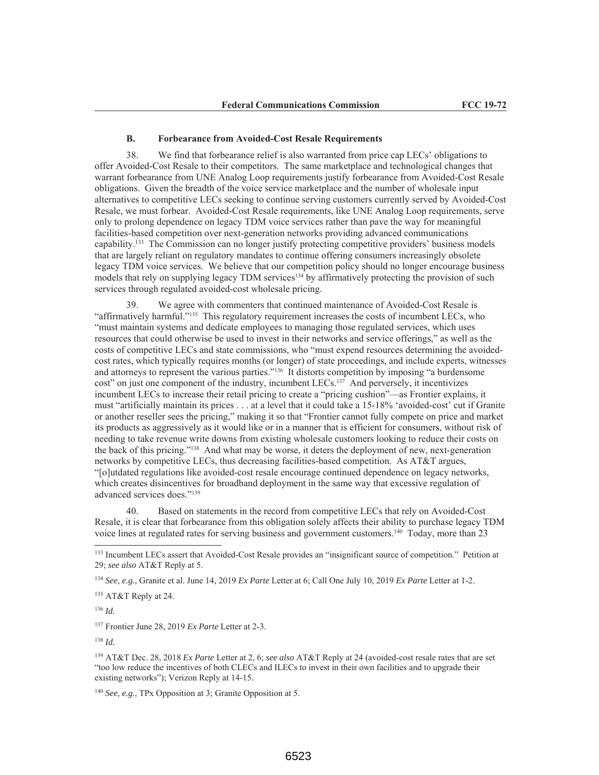#### **B. Forbearance from Avoided-Cost Resale Requirements**

38. We find that forbearance relief is also warranted from price cap LECs' obligations to offer Avoided-Cost Resale to their competitors. The same marketplace and technological changes that warrant forbearance from UNE Analog Loop requirements justify forbearance from Avoided-Cost Resale obligations. Given the breadth of the voice service marketplace and the number of wholesale input alternatives to competitive LECs seeking to continue serving customers currently served by Avoided-Cost Resale, we must forbear. Avoided-Cost Resale requirements, like UNE Analog Loop requirements, serve only to prolong dependence on legacy TDM voice services rather than pave the way for meaningful facilities-based competition over next-generation networks providing advanced communications capability.<sup>133</sup> The Commission can no longer justify protecting competitive providers' business models that are largely reliant on regulatory mandates to continue offering consumers increasingly obsolete legacy TDM voice services. We believe that our competition policy should no longer encourage business models that rely on supplying legacy TDM services<sup>134</sup> by affirmatively protecting the provision of such services through regulated avoided-cost wholesale pricing.

We agree with commenters that continued maintenance of Avoided-Cost Resale is "affirmatively harmful."<sup>135</sup> This regulatory requirement increases the costs of incumbent LECs, who "must maintain systems and dedicate employees to managing those regulated services, which uses resources that could otherwise be used to invest in their networks and service offerings," as well as the costs of competitive LECs and state commissions, who "must expend resources determining the avoidedcost rates, which typically requires months (or longer) of state proceedings, and include experts, witnesses and attorneys to represent the various parties."<sup>136</sup> It distorts competition by imposing "a burdensome cost" on just one component of the industry, incumbent LECs.<sup>137</sup> And perversely, it incentivizes incumbent LECs to increase their retail pricing to create a "pricing cushion"—as Frontier explains, it must "artificially maintain its prices . . . at a level that it could take a 15-18% 'avoided-cost' cut if Granite or another reseller sees the pricing," making it so that "Frontier cannot fully compete on price and market its products as aggressively as it would like or in a manner that is efficient for consumers, without risk of needing to take revenue write downs from existing wholesale customers looking to reduce their costs on the back of this pricing."<sup>138</sup> And what may be worse, it deters the deployment of new, next-generation networks by competitive LECs, thus decreasing facilities-based competition. As AT&T argues, "[o]utdated regulations like avoided-cost resale encourage continued dependence on legacy networks, which creates disincentives for broadband deployment in the same way that excessive regulation of advanced services does."139

Based on statements in the record from competitive LECs that rely on Avoided-Cost 40 Resale, it is clear that forbearance from this obligation solely affects their ability to purchase legacy TDM voice lines at regulated rates for serving business and government customers.<sup>140</sup> Today, more than 23

<sup>134</sup> See, e.g., Granite et al. June 14, 2019 Ex Parte Letter at 6; Call One July 10, 2019 Ex Parte Letter at 1-2.

<sup>135</sup> AT&T Reply at 24.

 $136$  *Id.* 

<sup>137</sup> Frontier June 28, 2019 Ex Parte Letter at 2-3.

<sup>139</sup> AT&T Dec. 28, 2018 Ex Parte Letter at 2, 6; see also AT&T Reply at 24 (avoided-cost resale rates that are set "too low reduce the incentives of both CLECs and ILECs to invest in their own facilities and to upgrade their existing networks"); Verizon Reply at 14-15.

<sup>140</sup> See, e.g., TPx Opposition at 3; Granite Opposition at 5.

<sup>&</sup>lt;sup>133</sup> Incumbent LECs assert that Avoided-Cost Resale provides an "insignificant source of competition." Petition at 29; see also AT&T Reply at 5.

 $138$  *Id.*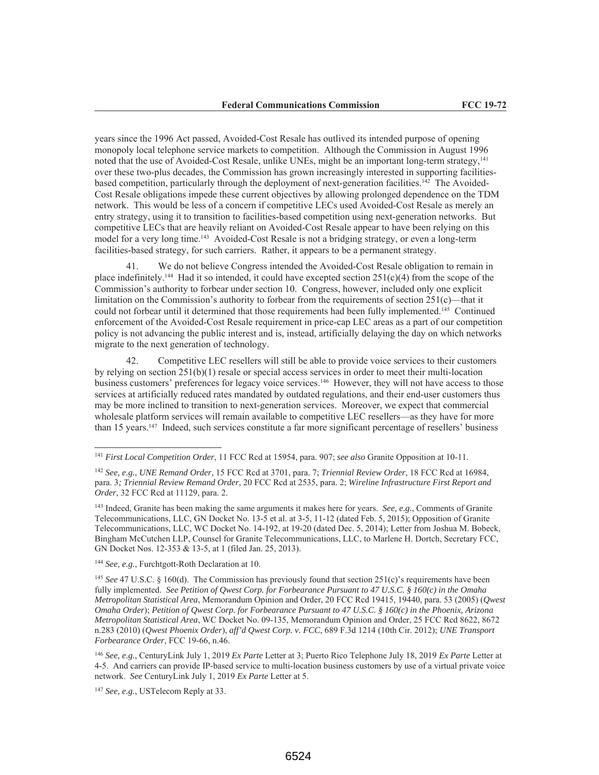years since the 1996 Act passed, Avoided-Cost Resale has outlived its intended purpose of opening monopoly local telephone service markets to competition. Although the Commission in August 1996 noted that the use of Avoided-Cost Resale, unlike UNEs, might be an important long-term strategy, 141 over these two-plus decades, the Commission has grown increasingly interested in supporting facilitiesbased competition, particularly through the deployment of next-generation facilities.<sup>142</sup> The Avoided-Cost Resale obligations impede these current objectives by allowing prolonged dependence on the TDM network. This would be less of a concern if competitive LECs used Avoided-Cost Resale as merely an entry strategy, using it to transition to facilities-based competition using next-generation networks. But competitive LECs that are heavily reliant on Avoided-Cost Resale appear to have been relying on this model for a very long time.<sup>143</sup> Avoided-Cost Resale is not a bridging strategy, or even a long-term facilities-based strategy, for such carriers. Rather, it appears to be a permanent strategy.

We do not believe Congress intended the Avoided-Cost Resale obligation to remain in place indefinitely.<sup>144</sup> Had it so intended, it could have excepted section  $251(c)(4)$  from the scope of the Commission's authority to forbear under section 10. Congress, however, included only one explicit limitation on the Commission's authority to forbear from the requirements of section  $251(c)$ —that it could not forbear until it determined that those requirements had been fully implemented.<sup>145</sup> Continued enforcement of the Avoided-Cost Resale requirement in price-cap LEC areas as a part of our competition policy is not advancing the public interest and is, instead, artificially delaying the day on which networks migrate to the next generation of technology.

Competitive LEC resellers will still be able to provide voice services to their customers 42. by relying on section  $251(b)(1)$  resale or special access services in order to meet their multi-location business customers' preferences for legacy voice services.<sup>146</sup> However, they will not have access to those services at artificially reduced rates mandated by outdated regulations, and their end-user customers thus may be more inclined to transition to next-generation services. Moreover, we expect that commercial wholesale platform services will remain available to competitive LEC resellers—as they have for more than 15 years.<sup>147</sup> Indeed, such services constitute a far more significant percentage of resellers' business

<sup>144</sup> See, e.g., Furchtgott-Roth Declaration at 10.

<sup>145</sup> See 47 U.S.C. § 160(d). The Commission has previously found that section 251(c)'s requirements have been fully implemented. See Petition of Qwest Corp. for Forbearance Pursuant to 47 U.S.C. § 160(c) in the Omaha Metropolitan Statistical Area, Memorandum Opinion and Order, 20 FCC Rcd 19415, 19440, para. 53 (2005) (Qwest Omaha Order); Petition of Owest Corp. for Forbearance Pursuant to 47 U.S.C. § 160(c) in the Phoenix, Arizona Metropolitan Statistical Area, WC Docket No. 09-135, Memorandum Opinion and Order, 25 FCC Rcd 8622, 8672 n.283 (2010) (Qwest Phoenix Order), aff'd Qwest Corp. v. FCC, 689 F.3d 1214 (10th Cir. 2012); UNE Transport Forbearance Order, FCC 19-66, n.46.

<sup>146</sup> See, e.g., CenturyLink July 1, 2019 Ex Parte Letter at 3; Puerto Rico Telephone July 18, 2019 Ex Parte Letter at 4-5. And carriers can provide IP-based service to multi-location business customers by use of a virtual private voice network. See CenturyLink July 1, 2019 Ex Parte Letter at 5.

<sup>147</sup> See, e.g., USTelecom Reply at 33.

<sup>&</sup>lt;sup>141</sup> First Local Competition Order, 11 FCC Rcd at 15954, para. 907; see also Granite Opposition at 10-11.

<sup>&</sup>lt;sup>142</sup> See, e.g., UNE Remand Order, 15 FCC Rcd at 3701, para. 7; Triennial Review Order, 18 FCC Rcd at 16984, para. 3; Triennial Review Remand Order, 20 FCC Rcd at 2535, para. 2; Wireline Infrastructure First Report and Order, 32 FCC Rcd at 11129, para. 2.

<sup>&</sup>lt;sup>143</sup> Indeed, Granite has been making the same arguments it makes here for years. *See, e.g.*, Comments of Granite Telecommunications, LLC, GN Docket No. 13-5 et al. at 3-5, 11-12 (dated Feb. 5, 2015); Opposition of Granite Telecommunications, LLC, WC Docket No. 14-192, at 19-20 (dated Dec. 5, 2014); Letter from Joshua M. Bobeck, Bingham McCutchen LLP, Counsel for Granite Telecommunications, LLC, to Marlene H. Dortch, Secretary FCC, GN Docket Nos. 12-353 & 13-5, at 1 (filed Jan. 25, 2013).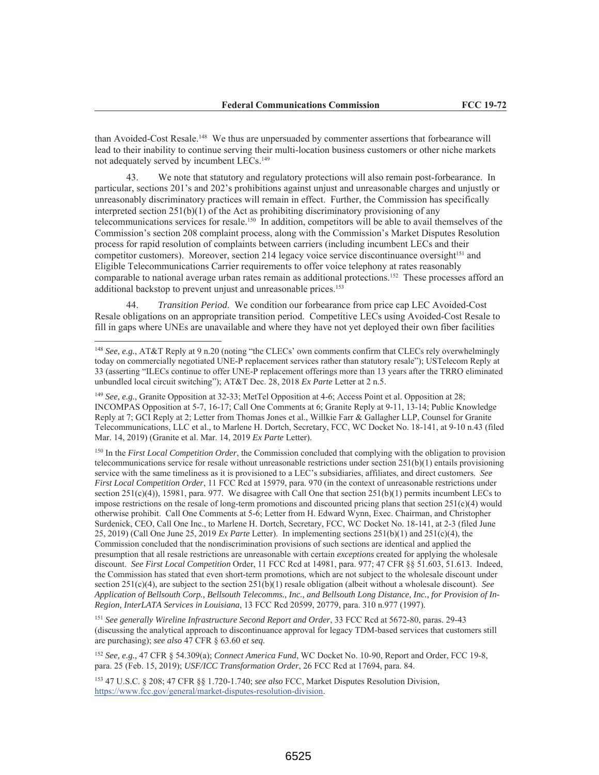than Avoided-Cost Resale.<sup>148</sup> We thus are unpersuaded by commenter assertions that forbearance will lead to their inability to continue serving their multi-location business customers or other niche markets not adequately served by incumbent LECs.<sup>149</sup>

43. We note that statutory and regulatory protections will also remain post-forbearance. In particular, sections 201's and 202's prohibitions against unjust and unreasonable charges and unjustly or unreasonably discriminatory practices will remain in effect. Further, the Commission has specifically interpreted section  $251(b)(1)$  of the Act as prohibiting discriminatory provisioning of any telecommunications services for resale.<sup>150</sup> In addition, competitors will be able to avail themselves of the Commission's section 208 complaint process, along with the Commission's Market Disputes Resolution process for rapid resolution of complaints between carriers (including incumbent LECs and their competitor customers). Moreover, section 214 legacy voice service discontinuance oversight<sup>151</sup> and Eligible Telecommunications Carrier requirements to offer voice telephony at rates reasonably comparable to national average urban rates remain as additional protections.<sup>152</sup> These processes afford an additional backstop to prevent unjust and unreasonable prices.<sup>153</sup>

Transition Period. We condition our forbearance from price cap LEC Avoided-Cost Resale obligations on an appropriate transition period. Competitive LECs using Avoided-Cost Resale to fill in gaps where UNEs are unavailable and where they have not yet deployed their own fiber facilities

 $150$  In the First Local Competition Order, the Commission concluded that complying with the obligation to provision telecommunications service for resale without unreasonable restrictions under section  $251(b)(1)$  entails provisioning service with the same timeliness as it is provisioned to a LEC's subsidiaries, affiliates, and direct customers. See First Local Competition Order, 11 FCC Rcd at 15979, para. 970 (in the context of unreasonable restrictions under section  $251(c)(4)$ ), 15981, para. 977. We disagree with Call One that section  $251(b)(1)$  permits incumbent LECs to impose restrictions on the resale of long-term promotions and discounted pricing plans that section  $251(c)(4)$  would otherwise prohibit. Call One Comments at 5-6; Letter from H. Edward Wynn, Exec. Chairman, and Christopher Surdenick, CEO, Call One Inc., to Marlene H. Dortch, Secretary, FCC, WC Docket No. 18-141, at 2-3 (filed June 25, 2019) (Call One June 25, 2019 Ex Parte Letter). In implementing sections  $251(b)(1)$  and  $251(c)(4)$ , the Commission concluded that the nondiscrimination provisions of such sections are identical and applied the presumption that all resale restrictions are unreasonable with certain exceptions created for applying the wholesale discount. See First Local Competition Order, 11 FCC Rcd at 14981, para. 977; 47 CFR §§ 51.603, 51.613. Indeed, the Commission has stated that even short-term promotions, which are not subject to the wholesale discount under section  $251(c)(4)$ , are subject to the section  $251(b)(1)$  resale obligation (albeit without a wholesale discount). See Application of Bellsouth Corp., Bellsouth Telecomms., Inc., and Bellsouth Long Distance, Inc., for Provision of In-Region, InterLATA Services in Louisiana, 13 FCC Rcd 20599, 20779, para. 310 n.977 (1997).

<sup>151</sup> See generally Wireline Infrastructure Second Report and Order, 33 FCC Rcd at 5672-80, paras. 29-43 (discussing the analytical approach to discontinuance approval for legacy TDM-based services that customers still are purchasing); see also 47 CFR § 63.60 et seq.

152 See, e.g., 47 CFR § 54.309(a); Connect America Fund, WC Docket No. 10-90, Report and Order, FCC 19-8, para. 25 (Feb. 15, 2019); USF/ICC Transformation Order, 26 FCC Rcd at 17694, para. 84.

153 47 U.S.C. § 208; 47 CFR §§ 1.720-1.740; see also FCC, Market Disputes Resolution Division, https://www.fcc.gov/general/market-disputes-resolution-division.

<sup>&</sup>lt;sup>148</sup> See, e.g., AT&T Reply at 9 n.20 (noting "the CLECs' own comments confirm that CLECs rely overwhelmingly today on commercially negotiated UNE-P replacement services rather than statutory resale"); USTelecom Reply at 33 (asserting "ILECs continue to offer UNE-P replacement offerings more than 13 years after the TRRO eliminated unbundled local circuit switching"); AT&T Dec. 28, 2018 Ex Parte Letter at 2 n.5.

<sup>&</sup>lt;sup>149</sup> See, e.g., Granite Opposition at 32-33; MetTel Opposition at 4-6; Access Point et al. Opposition at 28; INCOMPAS Opposition at 5-7, 16-17; Call One Comments at 6; Granite Reply at 9-11, 13-14; Public Knowledge Reply at 7; GCI Reply at 2; Letter from Thomas Jones et al., Willkie Farr & Gallagher LLP, Counsel for Granite Telecommunications, LLC et al., to Marlene H. Dortch, Secretary, FCC, WC Docket No. 18-141, at 9-10 n.43 (filed Mar. 14, 2019) (Granite et al. Mar. 14, 2019 Ex Parte Letter).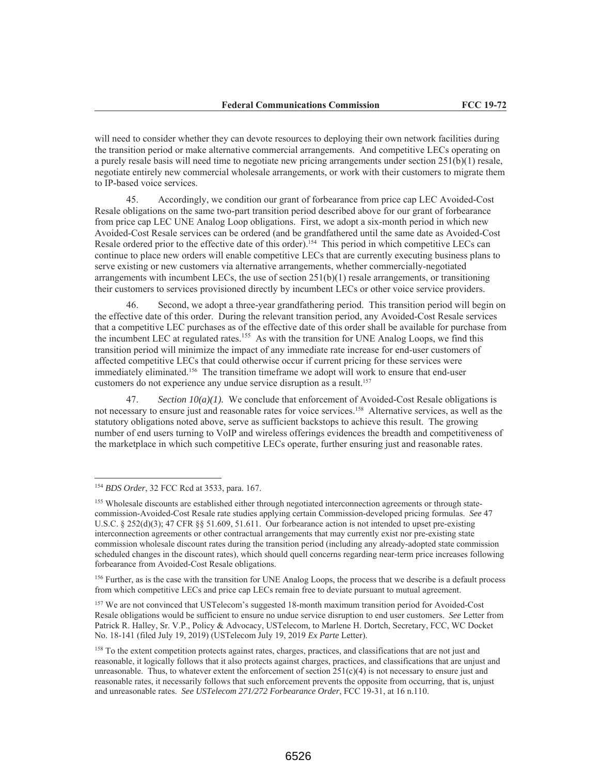will need to consider whether they can devote resources to deploying their own network facilities during the transition period or make alternative commercial arrangements. And competitive LECs operating on a purely resale basis will need time to negotiate new pricing arrangements under section  $251(b)(1)$  resale, negotiate entirely new commercial wholesale arrangements, or work with their customers to migrate them to IP-based voice services.

45. Accordingly, we condition our grant of forbearance from price cap LEC Avoided-Cost Resale obligations on the same two-part transition period described above for our grant of forbearance from price cap LEC UNE Analog Loop obligations. First, we adopt a six-month period in which new Avoided-Cost Resale services can be ordered (and be grandfathered until the same date as Avoided-Cost Resale ordered prior to the effective date of this order).<sup>154</sup> This period in which competitive LECs can continue to place new orders will enable competitive LECs that are currently executing business plans to serve existing or new customers via alternative arrangements, whether commercially-negotiated arrangements with incumbent LECs, the use of section  $251(b)(1)$  resale arrangements, or transitioning their customers to services provisioned directly by incumbent LECs or other voice service providers.

Second, we adopt a three-year grandfathering period. This transition period will begin on the effective date of this order. During the relevant transition period, any Avoided-Cost Resale services that a competitive LEC purchases as of the effective date of this order shall be available for purchase from the incumbent LEC at regulated rates.<sup>155</sup> As with the transition for UNE Analog Loops, we find this transition period will minimize the impact of any immediate rate increase for end-user customers of affected competitive LECs that could otherwise occur if current pricing for these services were immediately eliminated.<sup>156</sup> The transition timeframe we adopt will work to ensure that end-user customers do not experience any undue service disruption as a result.<sup>157</sup>

47. Section  $10(a)(1)$ . We conclude that enforcement of Avoided-Cost Resale obligations is not necessary to ensure just and reasonable rates for voice services.<sup>158</sup> Alternative services, as well as the statutory obligations noted above, serve as sufficient backstops to achieve this result. The growing number of end users turning to VoIP and wireless offerings evidences the breadth and competitiveness of the marketplace in which such competitive LECs operate, further ensuring just and reasonable rates.

<sup>156</sup> Further, as is the case with the transition for UNE Analog Loops, the process that we describe is a default process from which competitive LECs and price cap LECs remain free to deviate pursuant to mutual agreement.

<sup>157</sup> We are not convinced that USTelecom's suggested 18-month maximum transition period for Avoided-Cost Resale obligations would be sufficient to ensure no undue service disruption to end user customers. See Letter from Patrick R. Halley, Sr. V.P., Policy & Advocacy, USTelecom, to Marlene H. Dortch, Secretary, FCC, WC Docket No. 18-141 (filed July 19, 2019) (USTelecom July 19, 2019 Ex Parte Letter).

<sup>&</sup>lt;sup>154</sup> BDS Order, 32 FCC Rcd at 3533, para. 167.

<sup>&</sup>lt;sup>155</sup> Wholesale discounts are established either through negotiated interconnection agreements or through statecommission-Avoided-Cost Resale rate studies applying certain Commission-developed pricing formulas. See 47 U.S.C. § 252(d)(3); 47 CFR §§ 51.609, 51.611. Our forbearance action is not intended to upset pre-existing interconnection agreements or other contractual arrangements that may currently exist nor pre-existing state commission wholesale discount rates during the transition period (including any already-adopted state commission scheduled changes in the discount rates), which should quell concerns regarding near-term price increases following forbearance from Avoided-Cost Resale obligations.

<sup>&</sup>lt;sup>158</sup> To the extent competition protects against rates, charges, practices, and classifications that are not just and reasonable, it logically follows that it also protects against charges, practices, and classifications that are unjust and unreasonable. Thus, to whatever extent the enforcement of section  $251(c)(4)$  is not necessary to ensure just and reasonable rates, it necessarily follows that such enforcement prevents the opposite from occurring, that is, unjust and unreasonable rates. See USTelecom 271/272 Forbearance Order, FCC 19-31, at 16 n.110.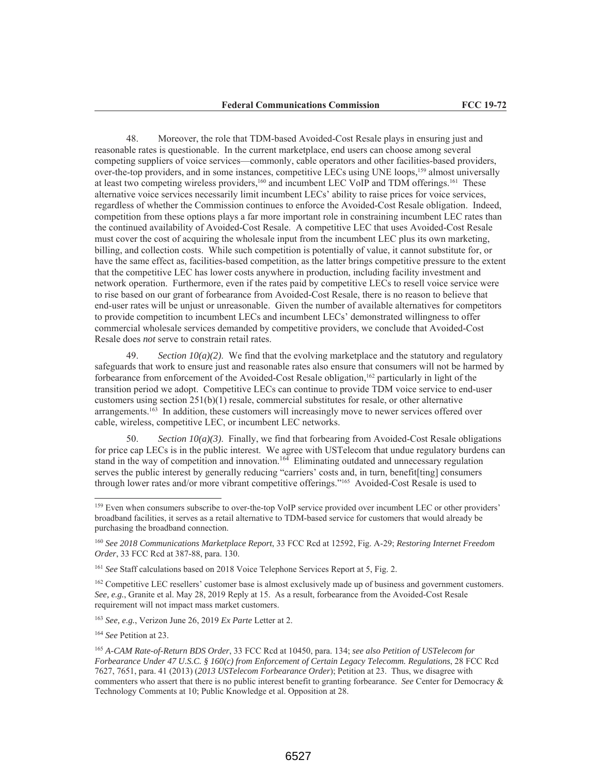48. Moreover, the role that TDM-based Avoided-Cost Resale plays in ensuring just and reasonable rates is questionable. In the current marketplace, end users can choose among several competing suppliers of voice services—commonly, cable operators and other facilities-based providers, over-the-top providers, and in some instances, competitive LECs using UNE loops,<sup>159</sup> almost universally at least two competing wireless providers,<sup>160</sup> and incumbent LEC VoIP and TDM offerings.<sup>161</sup> These alternative voice services necessarily limit incumbent LECs' ability to raise prices for voice services, regardless of whether the Commission continues to enforce the Avoided-Cost Resale obligation. Indeed, competition from these options plays a far more important role in constraining incumbent LEC rates than the continued availability of Avoided-Cost Resale. A competitive LEC that uses Avoided-Cost Resale must cover the cost of acquiring the wholesale input from the incumbent LEC plus its own marketing, billing, and collection costs. While such competition is potentially of value, it cannot substitute for, or have the same effect as, facilities-based competition, as the latter brings competitive pressure to the extent that the competitive LEC has lower costs anywhere in production, including facility investment and network operation. Furthermore, even if the rates paid by competitive LECs to resell voice service were to rise based on our grant of forbearance from Avoided-Cost Resale, there is no reason to believe that end-user rates will be unjust or unreasonable. Given the number of available alternatives for competitors to provide competition to incumbent LECs and incumbent LECs' demonstrated willingness to offer commercial wholesale services demanded by competitive providers, we conclude that Avoided-Cost Resale does not serve to constrain retail rates.

49. Section  $10(a)(2)$ . We find that the evolving marketplace and the statutory and regulatory safeguards that work to ensure just and reasonable rates also ensure that consumers will not be harmed by forbearance from enforcement of the Avoided-Cost Resale obligation,<sup>162</sup> particularly in light of the transition period we adopt. Competitive LECs can continue to provide TDM voice service to end-user customers using section  $251(b)(1)$  resale, commercial substitutes for resale, or other alternative arrangements.<sup>163</sup> In addition, these customers will increasingly move to newer services offered over cable, wireless, competitive LEC, or incumbent LEC networks.

50. Section  $10(a)(3)$ . Finally, we find that forbearing from Avoided-Cost Resale obligations for price cap LECs is in the public interest. We agree with USTelecom that undue regulatory burdens can stand in the way of competition and innovation.<sup>164</sup> Eliminating outdated and unnecessary regulation serves the public interest by generally reducing "carriers' costs and, in turn, benefit [ting] consumers through lower rates and/or more vibrant competitive offerings."165 Avoided-Cost Resale is used to

<sup>162</sup> Competitive LEC resellers' customer base is almost exclusively made up of business and government customers. See, e.g., Granite et al. May 28, 2019 Reply at 15. As a result, forbearance from the Avoided-Cost Resale requirement will not impact mass market customers.

<sup>163</sup> See, e.g., Verizon June 26, 2019 Ex Parte Letter at 2.

<sup>164</sup> See Petition at 23.

<sup>&</sup>lt;sup>159</sup> Even when consumers subscribe to over-the-top VoIP service provided over incumbent LEC or other providers' broadband facilities, it serves as a retail alternative to TDM-based service for customers that would already be purchasing the broadband connection.

<sup>&</sup>lt;sup>160</sup> See 2018 Communications Marketplace Report, 33 FCC Rcd at 12592, Fig. A-29; Restoring Internet Freedom Order, 33 FCC Rcd at 387-88, para. 130.

<sup>&</sup>lt;sup>161</sup> See Staff calculations based on 2018 Voice Telephone Services Report at 5, Fig. 2.

<sup>&</sup>lt;sup>165</sup> A-CAM Rate-of-Return BDS Order, 33 FCC Rcd at 10450, para. 134; see also Petition of USTelecom for Forbearance Under 47 U.S.C. § 160(c) from Enforcement of Certain Legacy Telecomm. Regulations, 28 FCC Rcd 7627, 7651, para. 41 (2013) (2013 USTelecom Forbearance Order); Petition at 23. Thus, we disagree with commenters who assert that there is no public interest benefit to granting forbearance. See Center for Democracy & Technology Comments at 10; Public Knowledge et al. Opposition at 28.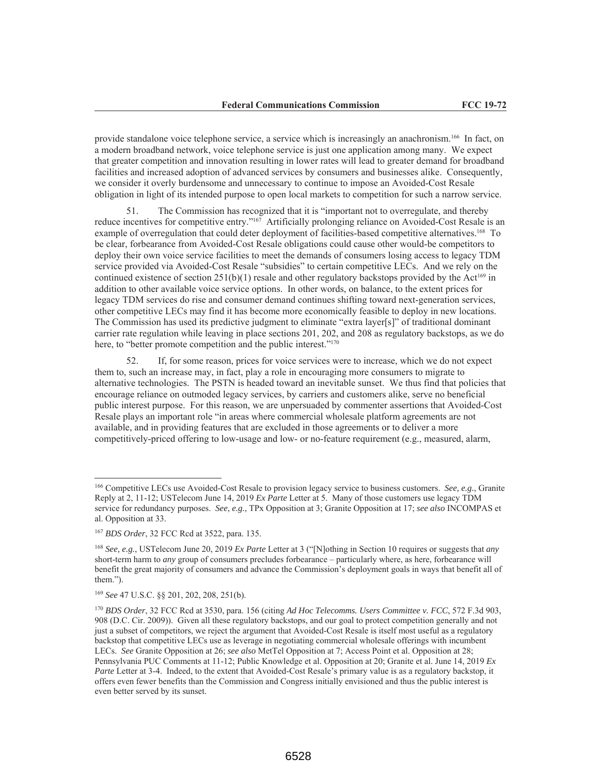provide standalone voice telephone service, a service which is increasingly an anachronism.<sup>166</sup> In fact, on a modern broadband network, voice telephone service is just one application among many. We expect that greater competition and innovation resulting in lower rates will lead to greater demand for broadband facilities and increased adoption of advanced services by consumers and businesses alike. Consequently, we consider it overly burdensome and unnecessary to continue to impose an Avoided-Cost Resale obligation in light of its intended purpose to open local markets to competition for such a narrow service.

The Commission has recognized that it is "important not to overregulate, and thereby 51. reduce incentives for competitive entry."<sup>167</sup> Artificially prolonging reliance on Avoided-Cost Resale is an example of overregulation that could deter deployment of facilities-based competitive alternatives.<sup>168</sup> To be clear, forbearance from Avoided-Cost Resale obligations could cause other would-be competitors to deploy their own voice service facilities to meet the demands of consumers losing access to legacy TDM service provided via Avoided-Cost Resale "subsidies" to certain competitive LECs. And we rely on the continued existence of section 251(b)(1) resale and other regulatory backstops provided by the Act<sup>169</sup> in addition to other available voice service options. In other words, on balance, to the extent prices for legacy TDM services do rise and consumer demand continues shifting toward next-generation services, other competitive LECs may find it has become more economically feasible to deploy in new locations. The Commission has used its predictive judgment to eliminate "extra layer[s]" of traditional dominant carrier rate regulation while leaving in place sections 201, 202, and 208 as regulatory backstops, as we do here, to "better promote competition and the public interest."<sup>170</sup>

52. If, for some reason, prices for voice services were to increase, which we do not expect them to, such an increase may, in fact, play a role in encouraging more consumers to migrate to alternative technologies. The PSTN is headed toward an inevitable sunset. We thus find that policies that encourage reliance on outmoded legacy services, by carriers and customers alike, serve no beneficial public interest purpose. For this reason, we are unpersuaded by commenter assertions that Avoided-Cost Resale plays an important role "in areas where commercial wholesale platform agreements are not available, and in providing features that are excluded in those agreements or to deliver a more competitively-priced offering to low-usage and low- or no-feature requirement (e.g., measured, alarm,

<sup>&</sup>lt;sup>166</sup> Competitive LECs use Avoided-Cost Resale to provision legacy service to business customers. See, e.g., Granite Reply at 2, 11-12; USTelecom June 14, 2019 Ex Parte Letter at 5. Many of those customers use legacy TDM service for redundancy purposes. See, e.g., TPx Opposition at 3; Granite Opposition at 17; see also INCOMPAS et al. Opposition at 33.

<sup>&</sup>lt;sup>167</sup> BDS Order, 32 FCC Rcd at 3522, para. 135.

<sup>&</sup>lt;sup>168</sup> See, e.g., USTelecom June 20, 2019 Ex Parte Letter at 3 ("[N]othing in Section 10 requires or suggests that any short-term harm to any group of consumers precludes forbearance - particularly where, as here, forbearance will benefit the great majority of consumers and advance the Commission's deployment goals in ways that benefit all of them.").

<sup>&</sup>lt;sup>169</sup> See 47 U.S.C. §§ 201, 202, 208, 251(b).

<sup>&</sup>lt;sup>170</sup> BDS Order, 32 FCC Rcd at 3530, para. 156 (citing Ad Hoc Telecomms. Users Committee v. FCC, 572 F.3d 903, 908 (D.C. Cir. 2009)). Given all these regulatory backstops, and our goal to protect competition generally and not just a subset of competitors, we reject the argument that Avoided-Cost Resale is itself most useful as a regulatory backstop that competitive LECs use as leverage in negotiating commercial wholesale offerings with incumbent LECs. See Granite Opposition at 26; see also MetTel Opposition at 7; Access Point et al. Opposition at 28; Pennsylvania PUC Comments at 11-12; Public Knowledge et al. Opposition at 20; Granite et al. June 14, 2019 Ex Parte Letter at 3-4. Indeed, to the extent that Avoided-Cost Resale's primary value is as a regulatory backstop, it offers even fewer benefits than the Commission and Congress initially envisioned and thus the public interest is even better served by its sunset.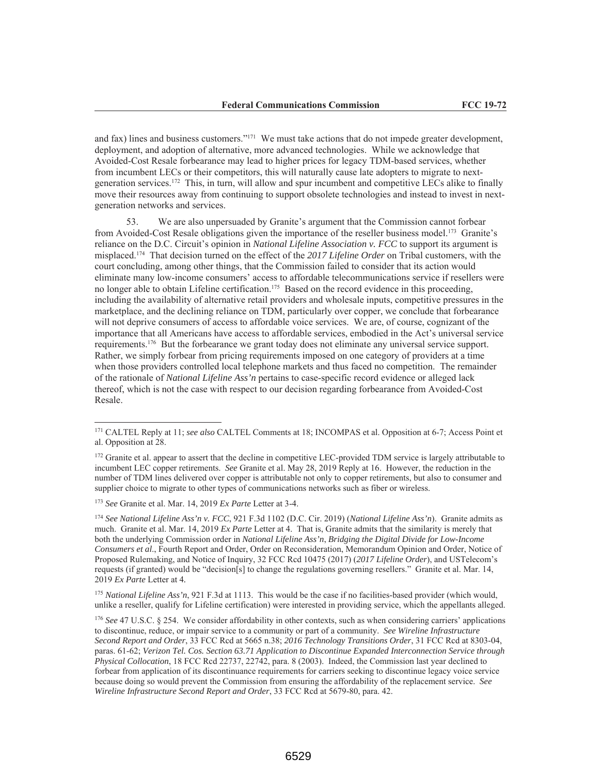and fax) lines and business customers."<sup>171</sup> We must take actions that do not impede greater development, deployment, and adoption of alternative, more advanced technologies. While we acknowledge that Avoided-Cost Resale forbearance may lead to higher prices for legacy TDM-based services, whether from incumbent LECs or their competitors, this will naturally cause late adopters to migrate to nextgeneration services.<sup>172</sup> This, in turn, will allow and spur incumbent and competitive LECs alike to finally move their resources away from continuing to support obsolete technologies and instead to invest in nextgeneration networks and services.

We are also unpersuaded by Granite's argument that the Commission cannot forbear from Avoided-Cost Resale obligations given the importance of the reseller business model.<sup>173</sup> Granite's reliance on the D.C. Circuit's opinion in National Lifeline Association v. FCC to support its argument is misplaced.<sup>174</sup> That decision turned on the effect of the 2017 Lifeline Order on Tribal customers, with the court concluding, among other things, that the Commission failed to consider that its action would eliminate many low-income consumers' access to affordable telecommunications service if resellers were no longer able to obtain Lifeline certification.<sup>175</sup> Based on the record evidence in this proceeding, including the availability of alternative retail providers and wholesale inputs, competitive pressures in the marketplace, and the declining reliance on TDM, particularly over copper, we conclude that forbearance will not deprive consumers of access to affordable voice services. We are, of course, cognizant of the importance that all Americans have access to affordable services, embodied in the Act's universal service requirements.<sup>176</sup> But the forbearance we grant today does not eliminate any universal service support. Rather, we simply forbear from pricing requirements imposed on one category of providers at a time when those providers controlled local telephone markets and thus faced no competition. The remainder of the rationale of National Lifeline Ass'n pertains to case-specific record evidence or alleged lack thereof, which is not the case with respect to our decision regarding forbearance from Avoided-Cost Resale.

<sup>&</sup>lt;sup>171</sup> CALTEL Reply at 11; see also CALTEL Comments at 18; INCOMPAS et al. Opposition at 6-7; Access Point et al. Opposition at 28.

<sup>&</sup>lt;sup>172</sup> Granite et al. appear to assert that the decline in competitive LEC-provided TDM service is largely attributable to incumbent LEC copper retirements. See Granite et al. May 28, 2019 Reply at 16. However, the reduction in the number of TDM lines delivered over copper is attributable not only to copper retirements, but also to consumer and supplier choice to migrate to other types of communications networks such as fiber or wireless.

<sup>&</sup>lt;sup>173</sup> See Granite et al. Mar. 14, 2019 Ex Parte Letter at 3-4.

<sup>&</sup>lt;sup>174</sup> See National Lifeline Ass'n v. FCC, 921 F.3d 1102 (D.C. Cir. 2019) (National Lifeline Ass'n). Granite admits as much. Granite et al. Mar. 14, 2019 Ex Parte Letter at 4. That is, Granite admits that the similarity is merely that both the underlying Commission order in National Lifeline Ass'n, Bridging the Digital Divide for Low-Income Consumers et al., Fourth Report and Order, Order on Reconsideration, Memorandum Opinion and Order, Notice of Proposed Rulemaking, and Notice of Inquiry, 32 FCC Rcd 10475 (2017) (2017 Lifeline Order), and USTelecom's requests (if granted) would be "decision[s] to change the regulations governing resellers." Granite et al. Mar. 14, 2019 Ex Parte Letter at 4.

<sup>&</sup>lt;sup>175</sup> National Lifeline Ass'n, 921 F.3d at 1113. This would be the case if no facilities-based provider (which would, unlike a reseller, qualify for Lifeline certification) were interested in providing service, which the appellants alleged.

<sup>&</sup>lt;sup>176</sup> See 47 U.S.C. § 254. We consider affordability in other contexts, such as when considering carriers' applications to discontinue, reduce, or impair service to a community or part of a community. See Wireline Infrastructure Second Report and Order, 33 FCC Rcd at 5665 n.38; 2016 Technology Transitions Order, 31 FCC Rcd at 8303-04, paras. 61-62; Verizon Tel. Cos. Section 63.71 Application to Discontinue Expanded Interconnection Service through Physical Collocation, 18 FCC Red 22737, 22742, para. 8 (2003). Indeed, the Commission last year declined to forbear from application of its discontinuance requirements for carriers seeking to discontinue legacy voice service because doing so would prevent the Commission from ensuring the affordability of the replacement service. See Wireline Infrastructure Second Report and Order, 33 FCC Rcd at 5679-80, para. 42.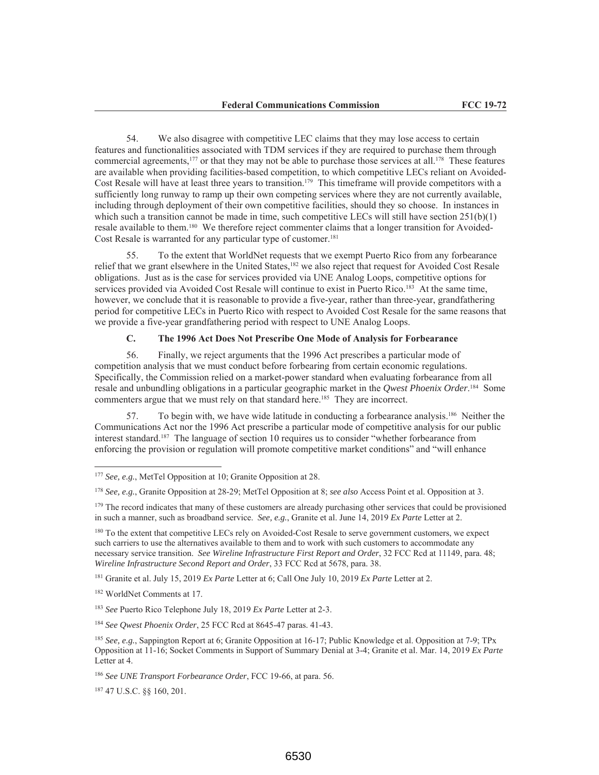We also disagree with competitive LEC claims that they may lose access to certain 54. features and functionalities associated with TDM services if they are required to purchase them through commercial agreements,<sup>177</sup> or that they may not be able to purchase those services at all.<sup>178</sup> These features are available when providing facilities-based competition, to which competitive LECs reliant on Avoided-Cost Resale will have at least three years to transition.<sup>179</sup> This timeframe will provide competitors with a sufficiently long runway to ramp up their own competing services where they are not currently available, including through deployment of their own competitive facilities, should they so choose. In instances in which such a transition cannot be made in time, such competitive LECs will still have section  $251(b)(1)$ resale available to them.<sup>180</sup> We therefore reject commenter claims that a longer transition for Avoided-Cost Resale is warranted for any particular type of customer.<sup>181</sup>

55. To the extent that WorldNet requests that we exempt Puerto Rico from any forbearance relief that we grant elsewhere in the United States,<sup>182</sup> we also reject that request for Avoided Cost Resale obligations. Just as is the case for services provided via UNE Analog Loops, competitive options for services provided via Avoided Cost Resale will continue to exist in Puerto Rico.<sup>183</sup> At the same time, however, we conclude that it is reasonable to provide a five-year, rather than three-year, grandfathering period for competitive LECs in Puerto Rico with respect to Avoided Cost Resale for the same reasons that we provide a five-year grandfathering period with respect to UNE Analog Loops.

### $C_{\bullet}$ The 1996 Act Does Not Prescribe One Mode of Analysis for Forbearance

56. Finally, we reject arguments that the 1996 Act prescribes a particular mode of competition analysis that we must conduct before forbearing from certain economic regulations. Specifically, the Commission relied on a market-power standard when evaluating forbearance from all resale and unbundling obligations in a particular geographic market in the *Qwest Phoenix Order*.<sup>184</sup> Some commenters argue that we must rely on that standard here.<sup>185</sup> They are incorrect.

To begin with, we have wide latitude in conducting a forbearance analysis.<sup>186</sup> Neither the 57. Communications Act nor the 1996 Act prescribe a particular mode of competitive analysis for our public interest standard.<sup>187</sup> The language of section 10 requires us to consider "whether forbearance from enforcing the provision or regulation will promote competitive market conditions" and "will enhance

<sup>180</sup> To the extent that competitive LECs rely on Avoided-Cost Resale to serve government customers, we expect such carriers to use the alternatives available to them and to work with such customers to accommodate any necessary service transition. See Wireline Infrastructure First Report and Order, 32 FCC Rcd at 11149, para. 48; Wireline Infrastructure Second Report and Order, 33 FCC Rcd at 5678, para. 38.

<sup>181</sup> Granite et al. July 15, 2019 Ex Parte Letter at 6; Call One July 10, 2019 Ex Parte Letter at 2.

<sup>182</sup> WorldNet Comments at 17.

<sup>183</sup> See Puerto Rico Telephone July 18, 2019 Ex Parte Letter at 2-3.

<sup>184</sup> See Qwest Phoenix Order, 25 FCC Rcd at 8645-47 paras. 41-43.

<sup>187</sup> 47 U.S.C. §§ 160, 201.

 $177$  See, e.g., MetTel Opposition at 10; Granite Opposition at 28.

<sup>&</sup>lt;sup>178</sup> See, e.g., Granite Opposition at 28-29; MetTel Opposition at 8; see also Access Point et al. Opposition at 3.

<sup>&</sup>lt;sup>179</sup> The record indicates that many of these customers are already purchasing other services that could be provisioned in such a manner, such as broadband service. See, e.g., Granite et al. June 14, 2019 Ex Parte Letter at 2.

<sup>&</sup>lt;sup>185</sup> See, e.g., Sappington Report at 6; Granite Opposition at 16-17; Public Knowledge et al. Opposition at 7-9; TPx Opposition at 11-16; Socket Comments in Support of Summary Denial at 3-4; Granite et al. Mar. 14, 2019 Ex Parte Letter at 4.

<sup>&</sup>lt;sup>186</sup> See UNE Transport Forbearance Order, FCC 19-66, at para. 56.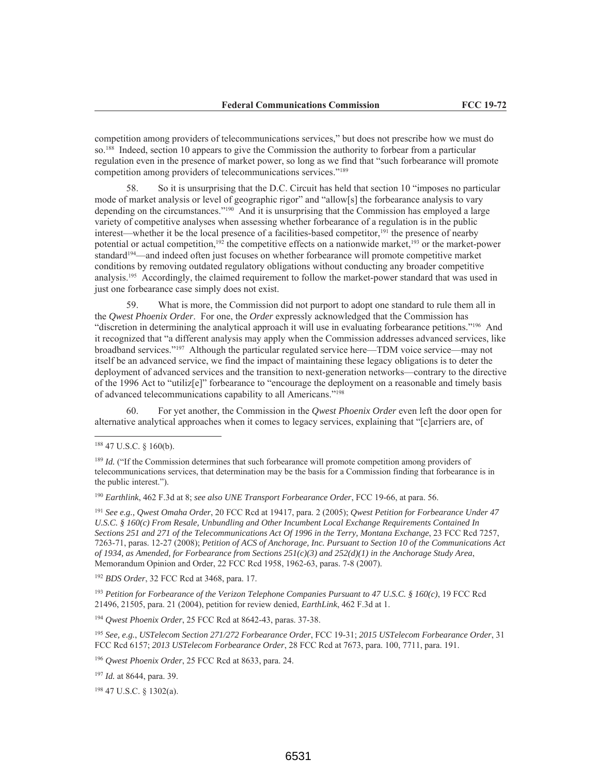competition among providers of telecommunications services," but does not prescribe how we must do so.<sup>188</sup> Indeed, section 10 appears to give the Commission the authority to forbear from a particular regulation even in the presence of market power, so long as we find that "such forbearance will promote competition among providers of telecommunications services."<sup>189</sup>

So it is unsurprising that the D.C. Circuit has held that section 10 "imposes no particular" 58. mode of market analysis or level of geographic rigor" and "allow[s] the forbearance analysis to vary depending on the circumstances."<sup>190</sup> And it is unsurprising that the Commission has employed a large variety of competitive analyses when assessing whether forbearance of a regulation is in the public interest—whether it be the local presence of a facilities-based competitor,<sup>191</sup> the presence of nearby potential or actual competition,  $192$  the competitive effects on a nationwide market,  $193$  or the market-power standard<sup>194</sup>—and indeed often just focuses on whether forbearance will promote competitive market conditions by removing outdated regulatory obligations without conducting any broader competitive analysis.<sup>195</sup> Accordingly, the claimed requirement to follow the market-power standard that was used in just one forbearance case simply does not exist.

59. What is more, the Commission did not purport to adopt one standard to rule them all in the Qwest Phoenix Order. For one, the Order expressly acknowledged that the Commission has "discretion in determining the analytical approach it will use in evaluating forbearance petitions."<sup>196</sup> And it recognized that "a different analysis may apply when the Commission addresses advanced services, like broadband services."<sup>197</sup> Although the particular regulated service here—TDM voice service—may not itself be an advanced service, we find the impact of maintaining these legacy obligations is to deter the deployment of advanced services and the transition to next-generation networks—contrary to the directive of the 1996 Act to "utiliz[e]" forbearance to "encourage the deployment on a reasonable and timely basis of advanced telecommunications capability to all Americans."<sup>198</sup>

For yet another, the Commission in the Owest Phoenix Order even left the door open for alternative analytical approaches when it comes to legacy services, explaining that "[c]arriers are, of

<sup>190</sup> Earthlink, 462 F.3d at 8; see also UNE Transport Forbearance Order, FCC 19-66, at para. 56.

<sup>191</sup> See e.g., Qwest Omaha Order, 20 FCC Rcd at 19417, para. 2 (2005); Qwest Petition for Forbearance Under 47 U.S.C. § 160(c) From Resale, Unbundling and Other Incumbent Local Exchange Requirements Contained In Sections 251 and 271 of the Telecommunications Act Of 1996 in the Terry, Montana Exchange, 23 FCC Red 7257, 7263-71, paras. 12-27 (2008); Petition of ACS of Anchorage, Inc. Pursuant to Section 10 of the Communications Act of 1934, as Amended, for Forbearance from Sections  $25I(c)(3)$  and  $252(d)(1)$  in the Anchorage Study Area, Memorandum Opinion and Order, 22 FCC Rcd 1958, 1962-63, paras. 7-8 (2007).

<sup>192</sup> BDS Order, 32 FCC Rcd at 3468, para. 17.

<sup>193</sup> Petition for Forbearance of the Verizon Telephone Companies Pursuant to 47 U.S.C. § 160(c), 19 FCC Rcd 21496, 21505, para. 21 (2004), petition for review denied, *EarthLink*, 462 F.3d at 1.

<sup>194</sup> Owest Phoenix Order, 25 FCC Rcd at 8642-43, paras. 37-38.

<sup>195</sup> See, e.g., USTelecom Section 271/272 Forbearance Order, FCC 19-31; 2015 USTelecom Forbearance Order, 31 FCC Red 6157; 2013 USTelecom Forbearance Order, 28 FCC Red at 7673, para. 100, 7711, para. 191.

<sup>196</sup> Qwest Phoenix Order, 25 FCC Rcd at 8633, para. 24.

<sup>197</sup> Id. at 8644, para. 39.

<sup>198</sup> 47 U.S.C. § 1302(a).

<sup>&</sup>lt;sup>188</sup> 47 U.S.C. § 160(b).

 $189$  *Id.* ("If the Commission determines that such forbearance will promote competition among providers of telecommunications services, that determination may be the basis for a Commission finding that forbearance is in the public interest.").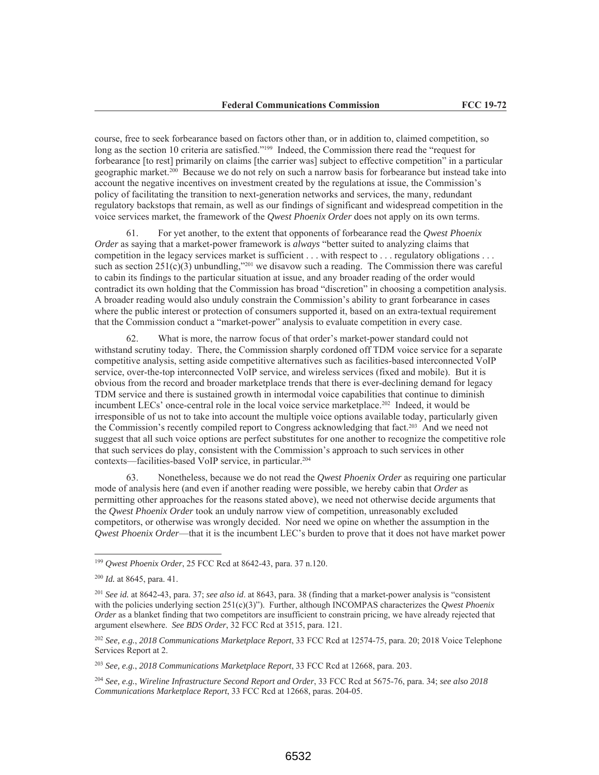course, free to seek forbearance based on factors other than, or in addition to, claimed competition, so long as the section 10 criteria are satisfied."<sup>199</sup> Indeed, the Commission there read the "request for forbearance [to rest] primarily on claims [the carrier was] subject to effective competition" in a particular geographic market.<sup>200</sup> Because we do not rely on such a narrow basis for forbearance but instead take into account the negative incentives on investment created by the regulations at issue, the Commission's policy of facilitating the transition to next-generation networks and services, the many, redundant regulatory backstops that remain, as well as our findings of significant and widespread competition in the voice services market, the framework of the *Owest Phoenix Order* does not apply on its own terms.

For yet another, to the extent that opponents of forbearance read the Qwest Phoenix 61. Order as saying that a market-power framework is *always* "better suited to analyzing claims that competition in the legacy services market is sufficient . . . with respect to . . . regulatory obligations . . . such as section  $251(c)(3)$  unbundling,"<sup>201</sup> we disavow such a reading. The Commission there was careful to cabin its findings to the particular situation at issue, and any broader reading of the order would contradict its own holding that the Commission has broad "discretion" in choosing a competition analysis. A broader reading would also unduly constrain the Commission's ability to grant forbearance in cases where the public interest or protection of consumers supported it, based on an extra-textual requirement that the Commission conduct a "market-power" analysis to evaluate competition in every case.

What is more, the narrow focus of that order's market-power standard could not 62. withstand scrutiny today. There, the Commission sharply cordoned off TDM voice service for a separate competitive analysis, setting aside competitive alternatives such as facilities-based interconnected VoIP service, over-the-top interconnected VoIP service, and wireless services (fixed and mobile). But it is obvious from the record and broader marketplace trends that there is ever-declining demand for legacy TDM service and there is sustained growth in intermodal voice capabilities that continue to diminish incumbent LECs' once-central role in the local voice service marketplace.<sup>202</sup> Indeed, it would be irresponsible of us not to take into account the multiple voice options available today, particularly given the Commission's recently compiled report to Congress acknowledging that fact.<sup>203</sup> And we need not suggest that all such voice options are perfect substitutes for one another to recognize the competitive role that such services do play, consistent with the Commission's approach to such services in other contexts—facilities-based VoIP service, in particular.<sup>204</sup>

63. Nonetheless, because we do not read the *Owest Phoenix Order* as requiring one particular mode of analysis here (and even if another reading were possible, we hereby cabin that Order as permitting other approaches for the reasons stated above), we need not otherwise decide arguments that the Qwest Phoenix Order took an unduly narrow view of competition, unreasonably excluded competitors, or otherwise was wrongly decided. Nor need we opine on whether the assumption in the Qwest Phoenix Order—that it is the incumbent LEC's burden to prove that it does not have market power

 $^{203}$  See, e.g., 2018 Communications Marketplace Report, 33 FCC Rcd at 12668, para. 203.

<sup>204</sup> See, e.g., Wireline Infrastructure Second Report and Order, 33 FCC Rcd at 5675-76, para, 34; see also 2018 Communications Marketplace Report, 33 FCC Rcd at 12668, paras. 204-05.

<sup>&</sup>lt;sup>199</sup> Qwest Phoenix Order, 25 FCC Rcd at 8642-43, para. 37 n.120.

 $200$  *Id.* at 8645, para. 41.

 $^{201}$  See id. at 8642-43, para, 37; see also id. at 8643, para, 38 (finding that a market-power analysis is "consistent" with the policies underlying section  $251(c)(3)$ "). Further, although INCOMPAS characterizes the *Owest Phoenix* Order as a blanket finding that two competitors are insufficient to constrain pricing, we have already rejected that argument elsewhere. See BDS Order, 32 FCC Rcd at 3515, para. 121.

<sup>&</sup>lt;sup>202</sup> See, e.g., 2018 Communications Marketplace Report, 33 FCC Rcd at 12574-75, para. 20; 2018 Voice Telephone Services Report at 2.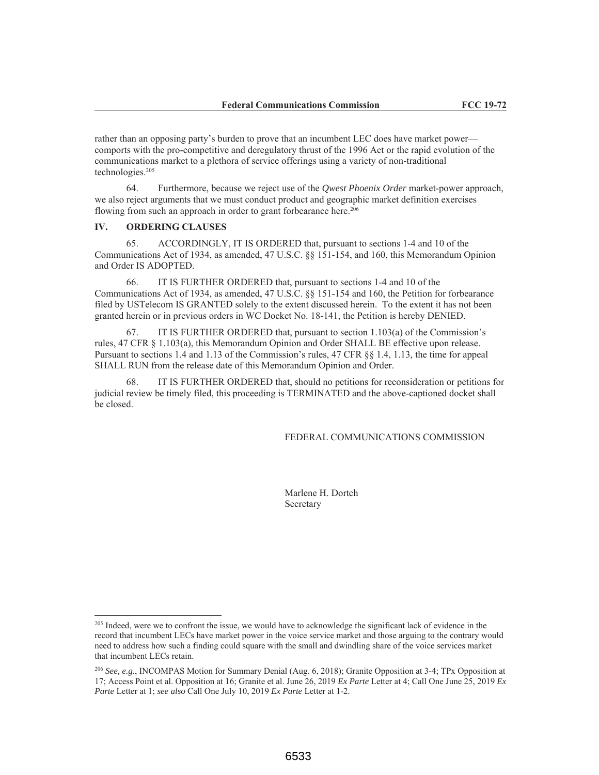rather than an opposing party's burden to prove that an incumbent LEC does have market power comports with the pro-competitive and deregulatory thrust of the 1996 Act or the rapid evolution of the communications market to a plethora of service offerings using a variety of non-traditional technologies.<sup>205</sup>

64. Furthermore, because we reject use of the *Owest Phoenix Order* market-power approach, we also reject arguments that we must conduct product and geographic market definition exercises flowing from such an approach in order to grant forbearance here.<sup>206</sup>

### IV. **ORDERING CLAUSES**

ACCORDINGLY, IT IS ORDERED that, pursuant to sections 1-4 and 10 of the 65. Communications Act of 1934, as amended, 47 U.S.C. §§ 151-154, and 160, this Memorandum Opinion and Order IS ADOPTED.

66. IT IS FURTHER ORDERED that, pursuant to sections 1-4 and 10 of the Communications Act of 1934, as amended, 47 U.S.C. §§ 151-154 and 160, the Petition for forbearance filed by UST elecom IS GRANTED solely to the extent discussed herein. To the extent it has not been granted herein or in previous orders in WC Docket No. 18-141, the Petition is hereby DENIED.

IT IS FURTHER ORDERED that, pursuant to section 1.103(a) of the Commission's 67. rules, 47 CFR § 1.103(a), this Memorandum Opinion and Order SHALL BE effective upon release. Pursuant to sections 1.4 and 1.13 of the Commission's rules, 47 CFR §§ 1.4, 1.13, the time for appeal SHALL RUN from the release date of this Memorandum Opinion and Order.

IT IS FURTHER ORDERED that, should no petitions for reconsideration or petitions for judicial review be timely filed, this proceeding is TERMINATED and the above-captioned docket shall be closed.

FEDERAL COMMUNICATIONS COMMISSION

Marlene H. Dortch Secretary

<sup>&</sup>lt;sup>205</sup> Indeed, were we to confront the issue, we would have to acknowledge the significant lack of evidence in the record that incumbent LECs have market power in the voice service market and those arguing to the contrary would need to address how such a finding could square with the small and dwindling share of the voice services market that incumbent LECs retain.

<sup>&</sup>lt;sup>206</sup> See, e.g., INCOMPAS Motion for Summary Denial (Aug. 6, 2018); Granite Opposition at 3-4; TPx Opposition at 17; Access Point et al. Opposition at 16; Granite et al. June 26, 2019 Ex Parte Letter at 4; Call One June 25, 2019 Ex Parte Letter at 1; see also Call One July 10, 2019 Ex Parte Letter at 1-2.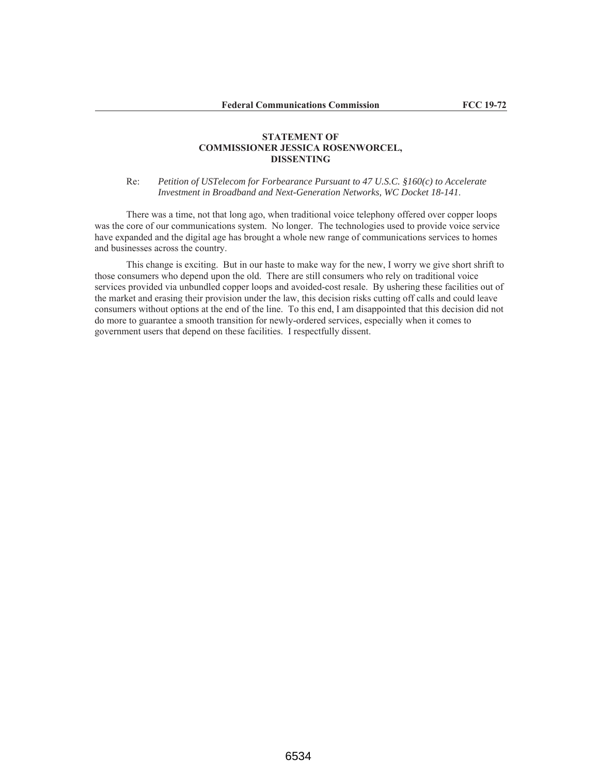## **STATEMENT OF COMMISSIONER JESSICA ROSENWORCEL, DISSENTING**

Re: Petition of USTelecom for Forbearance Pursuant to 47 U.S.C. §160(c) to Accelerate Investment in Broadband and Next-Generation Networks, WC Docket 18-141.

There was a time, not that long ago, when traditional voice telephony offered over copper loops was the core of our communications system. No longer. The technologies used to provide voice service have expanded and the digital age has brought a whole new range of communications services to homes and businesses across the country.

This change is exciting. But in our haste to make way for the new, I worry we give short shrift to those consumers who depend upon the old. There are still consumers who rely on traditional voice services provided via unbundled copper loops and avoided-cost resale. By ushering these facilities out of the market and erasing their provision under the law, this decision risks cutting off calls and could leave consumers without options at the end of the line. To this end, I am disappointed that this decision did not do more to guarantee a smooth transition for newly-ordered services, especially when it comes to government users that depend on these facilities. I respectfully dissent.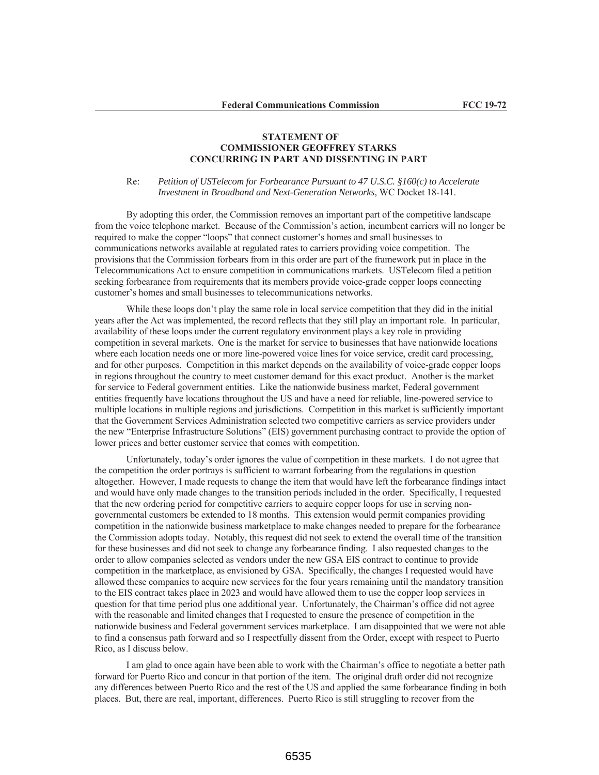# **STATEMENT OF COMMISSIONER GEOFFREY STARKS CONCURRING IN PART AND DISSENTING IN PART**

Petition of USTelecom for Forbearance Pursuant to 47 U.S.C. §160(c) to Accelerate  $Re:$ Investment in Broadband and Next-Generation Networks, WC Docket 18-141.

By adopting this order, the Commission removes an important part of the competitive landscape from the voice telephone market. Because of the Commission's action, incumbent carriers will no longer be required to make the copper "loops" that connect customer's homes and small businesses to communications networks available at regulated rates to carriers providing voice competition. The provisions that the Commission forbears from in this order are part of the framework put in place in the Telecommunications Act to ensure competition in communications markets. UST elecom filed a petition seeking forbearance from requirements that its members provide voice-grade copper loops connecting customer's homes and small businesses to telecommunications networks.

While these loops don't play the same role in local service competition that they did in the initial years after the Act was implemented, the record reflects that they still play an important role. In particular, availability of these loops under the current regulatory environment plays a key role in providing competition in several markets. One is the market for service to businesses that have nationwide locations where each location needs one or more line-powered voice lines for voice service, credit card processing, and for other purposes. Competition in this market depends on the availability of voice-grade copper loops in regions throughout the country to meet customer demand for this exact product. Another is the market for service to Federal government entities. Like the nationwide business market, Federal government entities frequently have locations throughout the US and have a need for reliable, line-powered service to multiple locations in multiple regions and jurisdictions. Competition in this market is sufficiently important that the Government Services Administration selected two competitive carriers as service providers under the new "Enterprise Infrastructure Solutions" (EIS) government purchasing contract to provide the option of lower prices and better customer service that comes with competition.

Unfortunately, today's order ignores the value of competition in these markets. I do not agree that the competition the order portrays is sufficient to warrant for bearing from the regulations in question altogether. However, I made requests to change the item that would have left the forbearance findings intact and would have only made changes to the transition periods included in the order. Specifically, I requested that the new ordering period for competitive carriers to acquire copper loops for use in serving nongovernmental customers be extended to 18 months. This extension would permit companies providing competition in the nationwide business marketplace to make changes needed to prepare for the forbearance the Commission adopts today. Notably, this request did not seek to extend the overall time of the transition for these businesses and did not seek to change any forbearance finding. I also requested changes to the order to allow companies selected as vendors under the new GSA EIS contract to continue to provide competition in the marketplace, as envisioned by GSA. Specifically, the changes I requested would have allowed these companies to acquire new services for the four years remaining until the mandatory transition to the EIS contract takes place in 2023 and would have allowed them to use the copper loop services in question for that time period plus one additional year. Unfortunately, the Chairman's office did not agree with the reasonable and limited changes that I requested to ensure the presence of competition in the nationwide business and Federal government services marketplace. I am disappointed that we were not able to find a consensus path forward and so I respectfully dissent from the Order, except with respect to Puerto Rico, as I discuss below.

I am glad to once again have been able to work with the Chairman's office to negotiate a better path forward for Puerto Rico and concur in that portion of the item. The original draft order did not recognize any differences between Puerto Rico and the rest of the US and applied the same forbearance finding in both places. But, there are real, important, differences. Puerto Rico is still struggling to recover from the